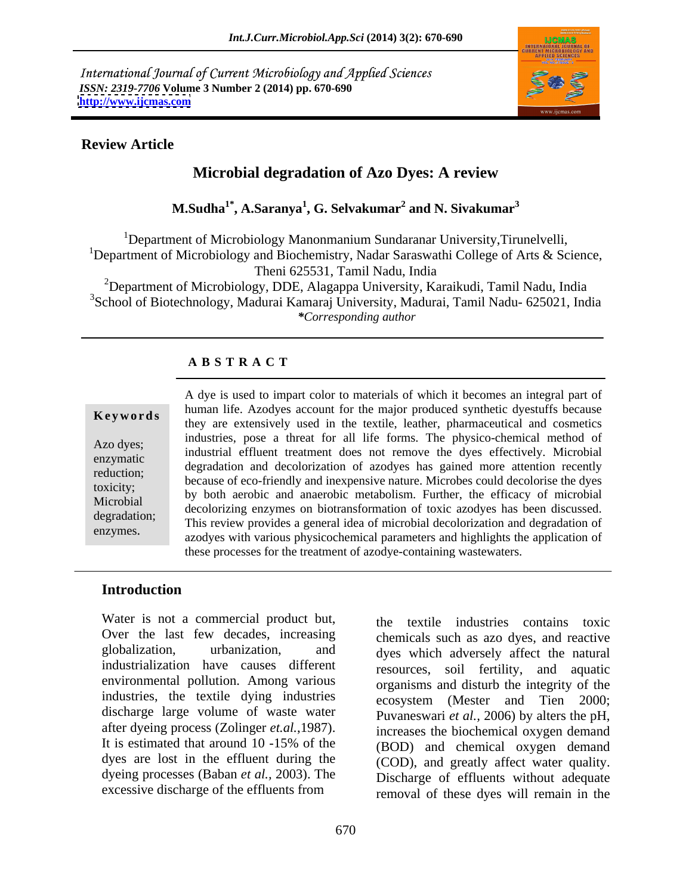International Journal of Current Microbiology and Applied Sciences *ISSN: 2319-7706* **Volume 3 Number 2 (2014) pp. 670-690 <http://www.ijcmas.com>**



### **Review Article**

# **Microbial degradation of Azo Dyes: A review**

 $\mathbf{M}.\mathbf{Sudha}^{1*}, \mathbf{A}.\mathbf{Saranya}^{1}, \mathbf{G}.\mathbf{Selvakumar}^{2}$  and  $\mathbf{N}.\mathbf{Sivakumar}^{3}$  **and N. Sivakumar<sup>3</sup>**

<sup>1</sup>Department of Microbiology Manonmanium Sundaranar University, Tirunelvelli, <sup>1</sup>Department of Microbiology and Biochemistry, Nadar Saraswathi College of Arts & Science, Theni 625531, Tamil Nadu, India <sup>2</sup>Department of Microbiology, DDE, Alagappa University, Karaikudi, Tamil Nadu, India <sup>3</sup>School of Biotechnology, Madurai Kamaraj University, Madurai, Tamil Nadu- 625021, India *\*Corresponding author* 

### **A B S T R A C T**

**Keywords** human fire. Abouyes account for the high produced symmetic dyestins oceanse they are extensively used in the textile, leather, pharmaceutical and cosmetics Azo dyes;<br>
industrial effluent treatment does not remove the dyes effectively. Microbial enzymatic degradation and decolorization of azodyes has gained more attention recently reduction;<br>because of eco-friendly and inexpensive nature. Microbes could decolorise the dyes toxicity; by both aerobic and anaerobic metabolism. Further, the efficacy of microbial Microbial by both acrobic and anacrobic included is the entry of incredible decolorizing enzymes on biotransformation of toxic azodyes has been discussed. degradation;<br>
This review provides a general idea of microbial decolorization and degradation of A dye is used to impart color to materials of which it becomes an integral part of<br>
human life. Azodyes account for the major produced synthetic dyestuffs because<br>
they are extensively used in the textile, leather, pharmac human life. Azodyes account for the major produced synthetic dyestuffs because industries, pose a threat for all life forms. The physico-chemical method of azodyes with various physicochemical parameters and highlights the application of these processes for the treatment of azodye-containing wastewaters.

### **Introduction**

Water is not a commercial product but, Over the last few decades, increasing globalization, urbanization, and dyes which adversely affect the natural industrialization have causes different environmental pollution. Among various industries, the textile dying industries discharge large volume of waste water after dyeing process (Zolinger *et.al.*,1987). It is estimated that around 10 -15% of the  $(BOD)$  and chemical oxygen demand dyes are lost in the effluent during the dyeing processes (Baban *et al.,* 2003). The excessive discharge of the effluents from

the textile industries contains toxic chemicals such as azo dyes, and reactive resources, soil fertility, and aquatic organisms and disturb the integrity of the ecosystem (Mester and Tien 2000; Puvaneswari *et al.,* 2006) by alters the pH, increases the biochemical oxygen demand (BOD) and chemical oxygen demand (COD), and greatly affect water quality. Discharge of effluents without adequate removal of these dyes will remain in the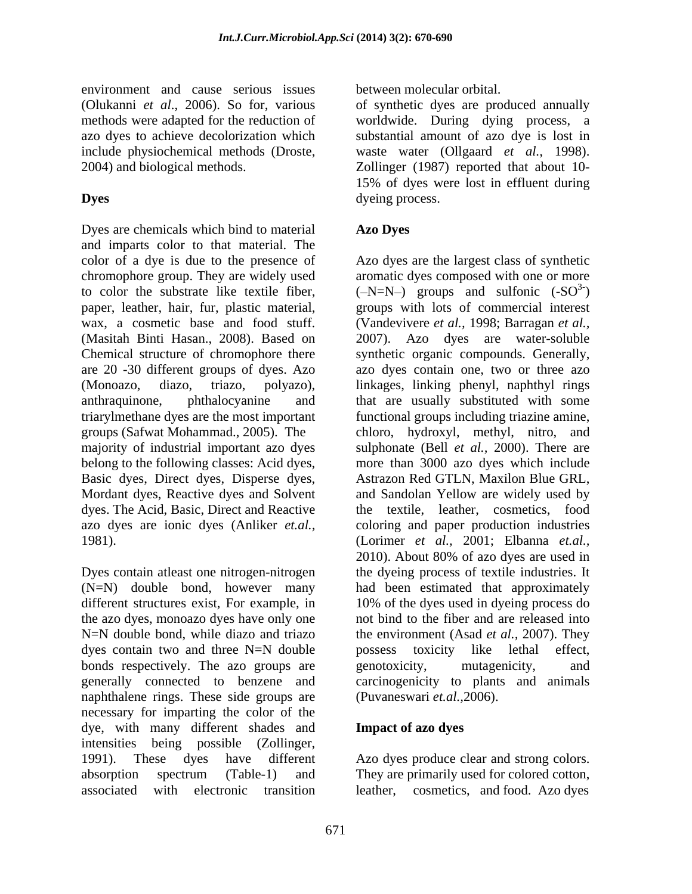environment and cause serious issues (Olukanni *et al*., 2006). So for, various of synthetic dyes are produced annually methods were adapted for the reduction of azo dyes to achieve decolorization which substantial amount of azo dye is lost in include physiochemical methods (Droste, waste water (Ollgaard *et al.,* 1998). 2004) and biological methods. Zollinger (1987) reported that about 10-

Dyes are chemicals which bind to material **Azo Dyes** and imparts color to that material. The color of a dye is due to the presence of Azo dyes are the largest class of synthetic chromophore group. They are widely used aromatic dyes composed with one or more to color the substrate like textile fiber,  $(-N=N-)$  groups and sulfonic  $(-SO^3)$ paper, leather, hair, fur, plastic material, groups with lots of commercial interest wax, a cosmetic base and food stuff. (Vandevivere *et al.,* 1998; Barragan *et al.,* (Masitah Binti Hasan., 2008). Based on 2007). Azo dyes are water-soluble Chemical structure of chromophore there synthetic organic compounds. Generally, are 20 -30 different groups of dyes. Azo azo dyes contain one, two or three azo (Monoazo, diazo, triazo, polyazo), linkages, linking phenyl, naphthyl rings anthraquinone, phthalocyanine and that are usually substituted with some triarylmethane dyes are the most important functional groups including triazine amine, groups (Safwat Mohammad., 2005). The chloro, hydroxyl, methyl, nitro, and majority of industrial important azo dyes sulphonate (Bell *et al.,* 2000).There are belong to the following classes: Acid dyes, Basic dyes, Direct dyes, Disperse dyes, Mordant dyes, Reactive dyes and Solvent and Sandolan Yellow are widely used by dyes. The Acid, Basic, Direct and Reactive the textile, leather, cosmetics, food azo dyes are ionic dyes (Anliker *et.al.,* coloring and paper production industries 1981). (Lorimer *et al.,* 2001; Elbanna *et.al.,*

Dyes contain atleast one nitrogen-nitrogen the dyeing process of textile industries. It (N=N) double bond, however many had been estimated that approximately different structures exist, For example, in 10% of the dyes used in dyeing process do the azo dyes, monoazo dyes have only one N=N double bond, while diazo and triazo the environment (Asad *et al.,* 2007). They dyes contain two and three N=N double possess toxicity like lethal effect, bonds respectively. The azo groups are experiencially equation endingly equation and  $\mathbf{p}$ generally connected to benzene and carcinogenicity to plants and animals naphthalene rings. These side groups are necessary for imparting the color of the dye, with many different shades and **Impact of azo dyes** intensities being possible (Zollinger, 1991). These dyes have different Azo dyes produce clear and strong colors. absorption spectrum (Table-1) and They are primarily used for colored cotton, associated with electronic transition leather, cosmetics, and food. Azo dyes

between molecular orbital.

**Dyes** dyeing process. worldwide. During dying process, a 15% of dyes were lost in effluent during dyeing process.

# **Azo Dyes**

 $)$ more than 3000 azo dyes which include Astrazon Red GTLN, Maxilon Blue GRL, 2010). About 80% of azo dyes are used in 10% of the dyes used in dyeing process do not bind to the fiber and are released into possess toxicity like lethal effect, genotoxicity, mutagenicity, and (Puvaneswari *et.al.,*2006).

## **Impact of azo dyes**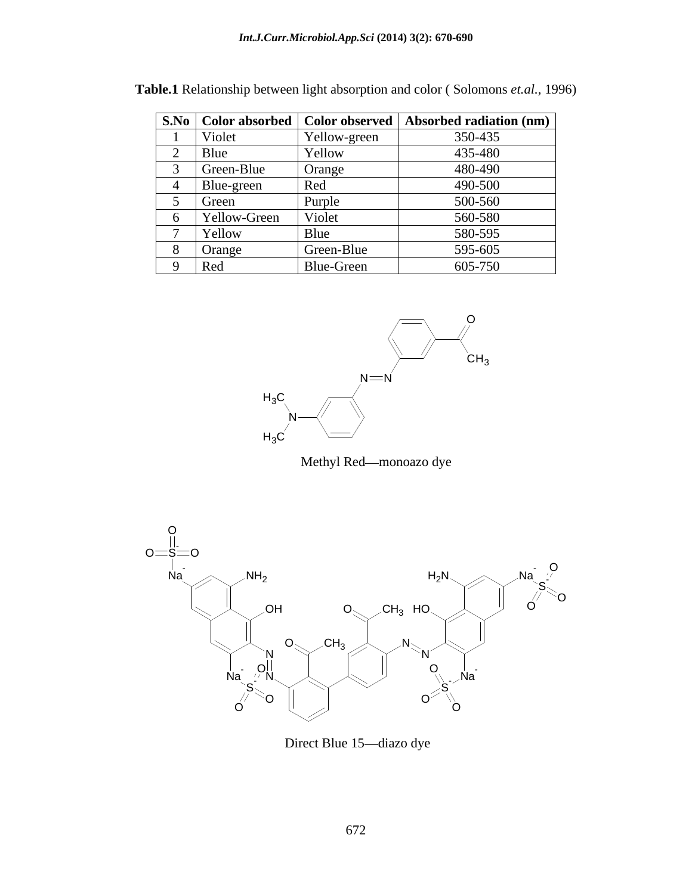|              |              | S.No   Color absorbed   Color observed   Absorbed radiation (nm) |
|--------------|--------------|------------------------------------------------------------------|
| Violet       | Yellow-green | 350-435                                                          |
| Blue         | Yellow       | 435-480                                                          |
| Green-Blue   | Orange       | 480-490                                                          |
| Blue-green   | Red          | 490-500                                                          |
| Green        | Purple       | 500-560                                                          |
| Yellow-Green | Violet       | 560-580                                                          |
| Yellow       | Blue         | 580-595                                                          |
| Orange       | Green-Blue   | 595-605                                                          |
| Red          | Blue-Green   | 605-750                                                          |

| Table.1<br>1996)<br>. D<br>$\gamma$ h <sub>1</sub> p between<br>vmons .<br>∴ ≏olor<br>- <u>Ight absorption</u> a<br>$\sim$ lotione<br>-SOI<br>and colo<br>$\theta$<br><i>.</i><br><b>INVIGHIOHS</b> |  |
|-----------------------------------------------------------------------------------------------------------------------------------------------------------------------------------------------------|--|
|-----------------------------------------------------------------------------------------------------------------------------------------------------------------------------------------------------|--|



Methyl Red-monoazo dye



Direct Blue 15-diazo dye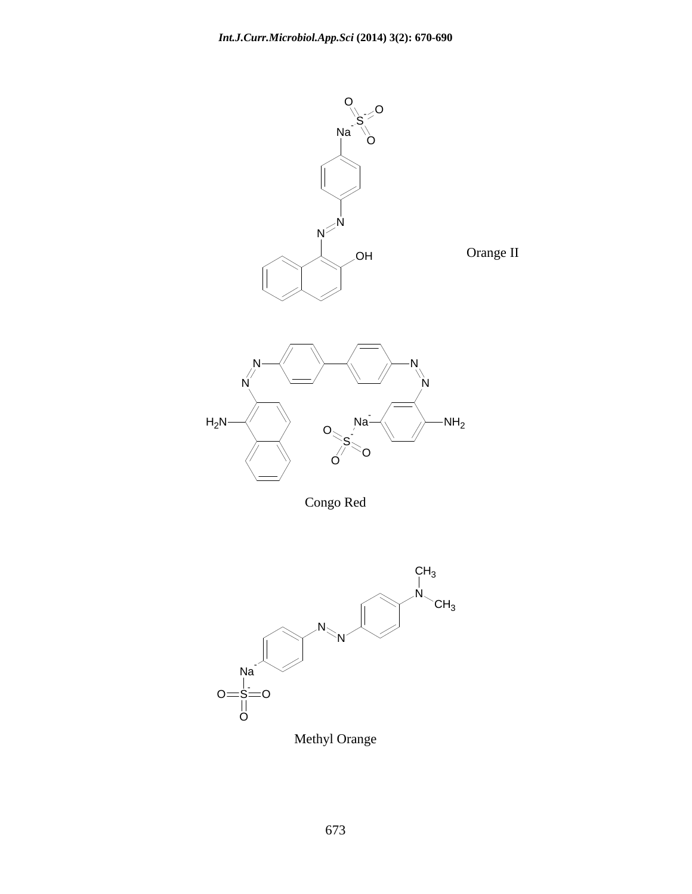

Congo Red



Methyl Orange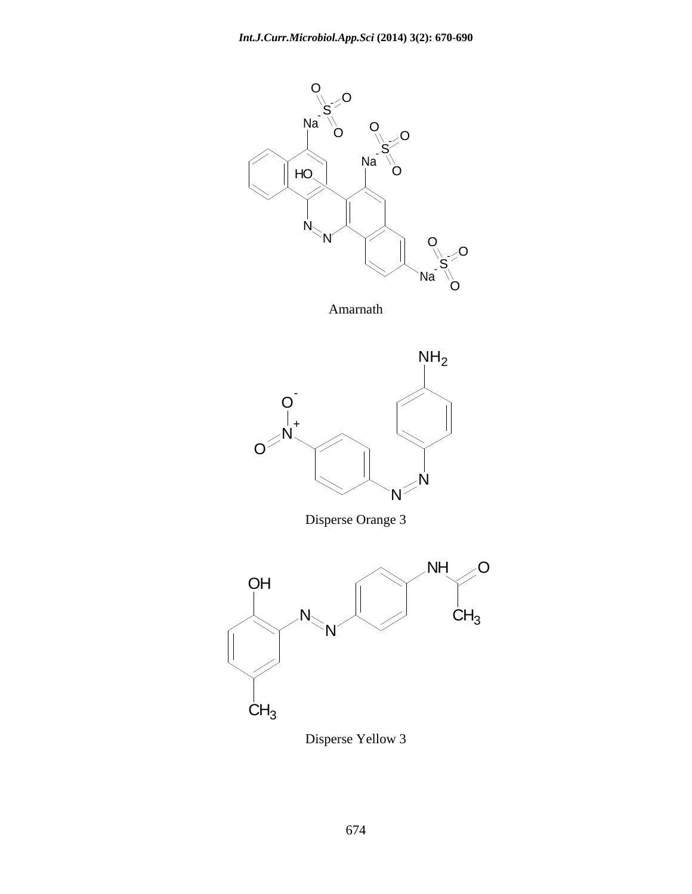

Amarnath



Disperse Orange 3



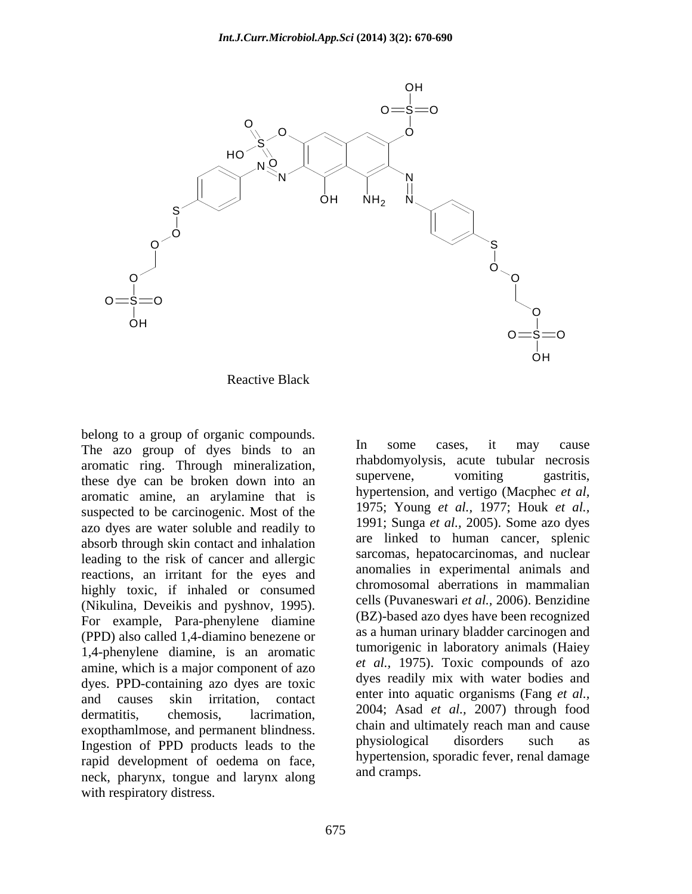

Reactive Black

belong to a group of organic compounds.<br>The aze group of dyes binds to an line some cases, it may cause The azo group of dyes binds to an aromatic ring. Through mineralization, rhabdomyolysis, acute tubular necrosis<br>these due can be broken down into an supervene, vomiting gastritis, these dye can be broken down into an aromatic amine, an arylamine that is suspected to be carcinogenic. Most of the azo dyes are water soluble and readily to absorb through skin contact and inhalation leading to the risk of cancer and allergic reactions, an irritant for the eyes and highly toxic, if inhaled or consumed (Nikulina, Deveikis and pyshnov, 1995). For example, Para-phenylene diamine (PPD) also called 1,4-diamino benezene or 1,4-phenylene diamine, is an aromatic amine, which is a major component of azo dyes. PPD-containing azo dyes are toxic and causes skin irritation, contact enter into aquatic organisms (Fang *et al.,* dermatitis, chemosis, lacrimation, 2004; Asad *et al.,* 2007) through food exopthamlmose, and permanent blindness.<br>Ingestion of PPD products loods to the physiological disorders such as Ingestion of PPD products leads to the rapid development of oedema on face, neck, pharynx, tongue and larynx along with respiratory distress.

In some cases, it may cause rhabdomyolysis, acute tubular necrosis supervene, vomiting gastritis, hypertension, and vertigo (Macphec *et al,* 1975; Young *et al.,* 1977; Houk *et al.,* 1991; Sunga *et al.,* 2005). Some azo dyes are linked to human cancer, splenic sarcomas, hepatocarcinomas, and nuclear anomalies in experimental animals and chromosomal aberrations in mammalian cells (Puvaneswari *et al.,* 2006). Benzidine (BZ)-based azo dyes have been recognized as a human urinary bladder carcinogen and tumorigenic in laboratory animals (Haiey *et al.,* 1975). Toxic compounds of azo dyes readily mix with water bodies and chain and ultimately reach man and cause physiological disorders such as hypertension, sporadic fever, renal damage and cramps.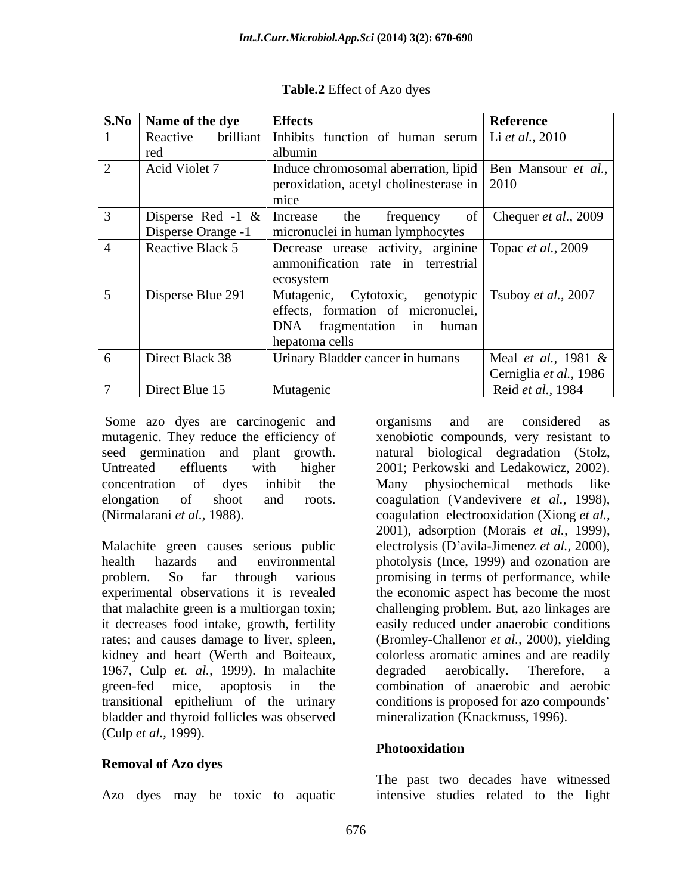| <b>S.No</b> Name of the dye                         | <b>Effects</b>                                                                                                                              | Reference                                     |
|-----------------------------------------------------|---------------------------------------------------------------------------------------------------------------------------------------------|-----------------------------------------------|
| Reactive                                            | brilliant Inhibits function of human serum Li <i>et al.</i> , 2010                                                                          |                                               |
|                                                     | albumin                                                                                                                                     |                                               |
| Acid Violet 7                                       | Induce chromosomal aberration, lipid   Ben Mansour et al.,<br>peroxidation, acetyl cholinesterase in $\vert$ 2010                           |                                               |
| Disperse Red -1 $\&$ Increase<br>Disperse Orange -1 | frequency<br>the<br>0Ì<br>$\Box$ micronuclei in human lymphocytes                                                                           | Chequer <i>et al.</i> , 2009                  |
| Reactive Black 5                                    | Decrease urease activity, arginine Topac et al., 2009<br>ammonification rate in terrestrial<br>ecosystem                                    |                                               |
| Disperse Blue 291                                   | Mutagenic, Cytotoxic, genotypic   Tsuboy et al., 2007<br>effects, formation of micronuclei,<br>DNA fragmentation in human<br>hepatoma cells |                                               |
| Direct Black 38                                     | Urinary Bladder cancer in humans                                                                                                            | Meal et al., 1981 &<br>Cerniglia et al., 1986 |
| Direct Blue 15                                      | Mutagenic                                                                                                                                   | Reid et al., 1984                             |

**Table.2** Effect of Azo dyes

Some azo dyes are carcinogenic and organisms and are considered as mutagenic. They reduce the efficiency of

that malachite green is a multiorgan toxin; it decreases food intake, growth, fertility 1967, Culp *et. al.,* 1999). In malachite bladder and thyroid follicles was observed (Culp *et al.,* 1999).

### **Removal of Azo dyes**

seed germination and plant growth. natural biological degradation (Stolz, Untreated effluents with higher 2001; Perkowski and Ledakowicz, 2002). concentration of dyes inhibit the elongation of shoot and roots. coagulation (Vandevivere *et al.,* 1998), (Nirmalarani *et al.,* 1988). coagulation electrooxidation (Xiong *et al.,* Malachite green causes serious public electrolysis (D avila-Jimenez *et al.,* 2000), health hazards and environmental photolysis (Ince, 1999) and ozonation are problem. So far through various promising in terms of performance, while experimental observations it is revealed the economic aspect has become the most rates; and causes damage to liver, spleen, (Bromley-Challenor *et al.,* 2000), yielding kidney and heart (Werth and Boiteaux, colorless aromatic amines and are readily green-fed mice, apoptosis in the combination of anaerobic and aerobic transitional epithelium of the urinary conditions is proposed for azo compounds organisms and are considered as xenobiotic compounds, very resistant to Many physiochemical methods like 2001), adsorption (Morais *et al.,* 1999), challenging problem. But, azo linkages are easily reduced under anaerobic conditions degraded aerobically. Therefore, a mineralization (Knackmuss, 1996).

### **Photooxidation**

Azo dyes may be toxic to aquatic intensive studies related to the lightThe past two decades have witnessed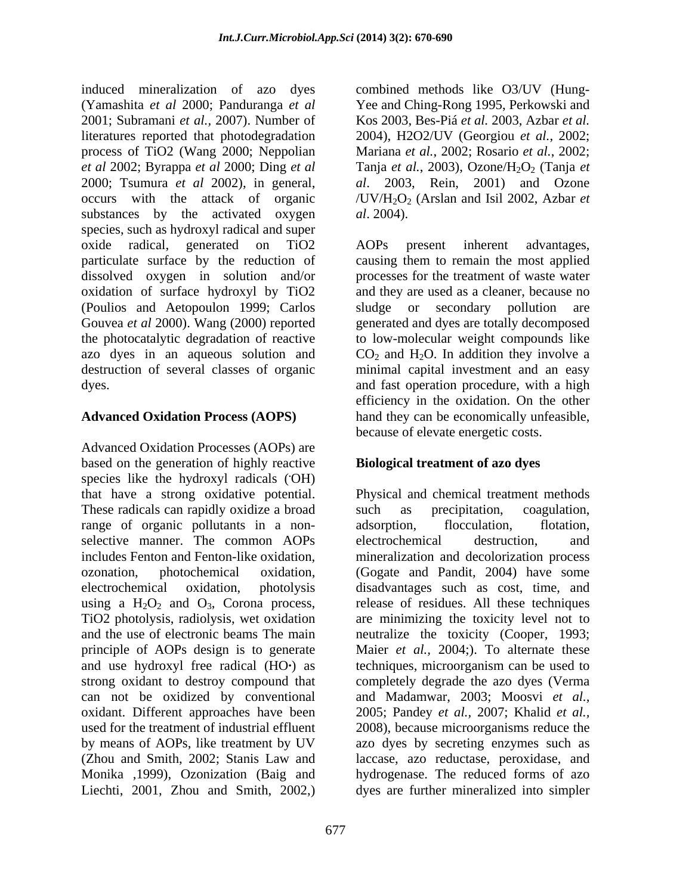induced mineralization of azo dyes combined methods like O3/UV (Hung- (Yamashita *et al* 2000; Panduranga *et al* Yee and Ching-Rong 1995, Perkowski and 2001; Subramani *et al.,* 2007). Number of Kos 2003, Bes-Piá *et al.* 2003, Azbar *et al.*  literatures reported that photodegradation 2004), H2O2/UV (Georgiou *et al.*, 2002; process of TiO2 (Wang 2000; Neppolian Mariana *et al.*, 2002; Rosario *et al.*, 2002; *et al* 2002; Byrappa *et al* 2000; Ding *et al* Tanja *et al.*, 2003), Ozone/H2O2 (Tanja *et*  2000; Tsumura *et al* 2002), in general, *al*. 2003, Rein, 2001) and Ozone occurs with the attack of organic /UV/H2O2 (Arslan and Isil 2002, Azbar *et*  substances by the activated oxygen al. 2004). species, such as hydroxyl radical and super oxide radical, generated on TiO2 particulate surface by the reduction of causing them to remain the most applied dissolved oxygen in solution and/or processes for the treatment of waste water oxidation of surface hydroxyl by TiO2 (Poulios and Aetopoulon 1999; Carlos Gouvea *et al* 2000). Wang (2000) reported generated and dyes are totally decomposed the photocatalytic degradation of reactive to low-molecular weight compounds like azo dyes in an aqueous solution and  $CO_2$  and  $H_2O$ . In addition they involve a destruction of several classes of organic dyes. and fast operation procedure, with a high

Advanced Oxidation Processes (AOPs) are based on the generation of highly reactive species like the hydroxyl radicals (OH) **.**OH) These radicals can rapidly oxidize a broad such as precipitation, coagulation, range of organic pollutants in a non-<br>adsorption, flocculation, flotation, selective manner. The common AOPs electrochemical destruction, and Liechti, 2001, Zhou and Smith, 2002,) dyes are further mineralized into simpler

*al*. 2004).

**Advanced Oxidation Process (AOPS)** hand they can be economically unfeasible, AOPs present inherent advantages, and they are used as a cleaner, because no sludge or secondary pollution minimal capital investment and an easy efficiency in the oxidation. On the other because of elevate energetic costs.

## **Biological treatment of azo dyes**

that have a strong oxidative potential. Physical and chemical treatment methods includes Fenton and Fenton-like oxidation, mineralization and decolorization process ozonation, photochemical oxidation, (Gogate and Pandit, 2004) have some electrochemical oxidation, photolysis disadvantages such as cost, time, and using a  $H_2O_2$  and  $O_3$ , Corona process, release of residues. All these techniques TiO2 photolysis, radiolysis, wet oxidation are minimizing the toxicity level not to and the use of electronic beams The main neutralize the toxicity (Cooper, 1993; principle of AOPs design is to generate Maier *et al.,* 2004;). To alternate these and use hydroxyl free radical (HO**·**) as techniques, microorganism can be used to strong oxidant to destroy compound that completely degrade the azo dyes (Verma can not be oxidized by conventional and Madamwar, 2003; Moosvi *et al.,* oxidant. Different approaches have been 2005; Pandey *et al.,* 2007; Khalid *et al.,* used for the treatment of industrial effluent 2008), because microorganisms reduce the by means of AOPs, like treatment by UV azo dyes by secreting enzymes such as (Zhou and Smith, 2002; Stanis Law and laccase, azo reductase, peroxidase, and Monika ,1999), Ozonization (Baig and hydrogenase. The reduced forms of azo such as precipitation, coagulation, adsorption, flocculation, flotation, electrochemical destruction, and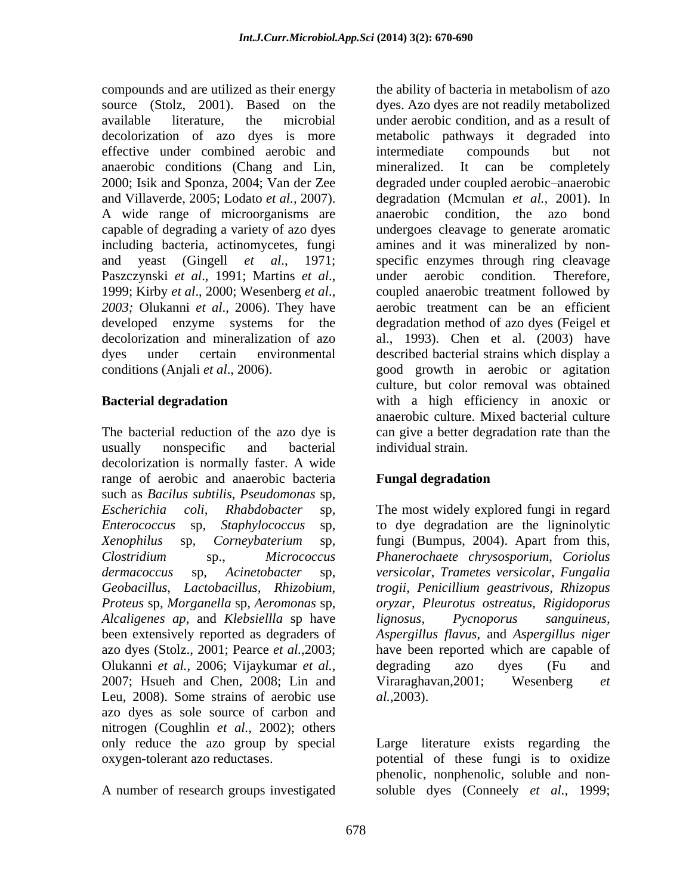effective under combined aerobic and intermediate compounds but not anaerobic conditions (Chang and Lin, mineralized. It can be completely A wide range of microorganisms are anaerobic condition, the azo bond *2003;* Olukanni *et al*., 2006).They have

usually nonspecific and bacterial decolorization is normally faster. A wide range of aerobic and anaerobic bacteria **Fungal degradation** Such as Bacilus subtilis, Pseudomonas sp,<br>
Escherichia coli, Rhabdobacter sp, The most widely explored fungi in regard<br>
Enterococcus sp, Staphylococcus sp, to dye degradation are the ligninolytic<br>
Xenophilus sp, Corneybate azo dyes (Stolz., 2001; Pearce *et al.,*2003; Olukanni *et al.,* 2006; Vijaykumar *et al.,* 2007; Hsueh and Chen, 2008; Lin and Viraraghavan, 2001; Wesenberg et Leu, 2008). Some strains of aerobic use *al.*, 2003). azo dyes as sole source of carbon and nitrogen (Coughlin *et al.,* 2002); others only reduce the azo group by special

A number of research groups investigated soluble dyes (Conneely *et al.,* 1999;

compounds and are utilized as their energy the ability of bacteria in metabolism of azo source (Stolz, 2001). Based on the dyes. Azo dyes are not readily metabolized available literature, the microbial under aerobic condition, and as a result of decolorization of azo dyes is more metabolic pathways it degraded into 2000; Isik and Sponza, 2004; Van der Zee degraded under coupled aerobic anaerobic and Villaverde, 2005; Lodato *et al.,* 2007). degradation (Mcmulan *et al.,* 2001). In capable of degrading a variety of azo dyes undergoes cleavage to generate aromatic including bacteria, actinomycetes, fungi amines and it was mineralized by non and yeast (Gingell *et al*., 1971; specific enzymes through ring cleavage Paszczynski *et al.*, 1991; Martins *et al.*, under aerobic condition. Therefore, 1999; Kirby *et al.*, 2000; Wesenberg *et al.*, coupled anaerobic treatment followed by developed enzyme systems for the degradation method of azo dyes (Feigel et decolorization and mineralization of azo al., 1993). Chen et al. (2003) have dyes under certain environmental described bacterial strains which display a conditions (Anjali *et al*., 2006). good growth in aerobic or agitation **Bacterial degradation Solution Solution Solution Solution Solution Solution Solution Solution Solution Solution Solution Solution Solution Solution Solution Solution Solution Solution** The bacterial reduction of the azo dye is can give a better degradation rate than the intermediate compounds but not mineralized. It can be completely anaerobic condition, the azo bond under aerobic condition. Therefore, coupled anaerobic treatment followed by aerobic treatment can be an efficient culture, but color removal was obtained anaerobic culture. Mixed bacterial culture individual strain.

## **Fungal degradation**

*dermacoccus* sp*, Acinetobacter* sp*, Geobacillus, Lactobacillus, Rhizobium, Proteus* sp*, Morganella* sp*, Aeromonas* sp*, Alcaligenes ap*, and *Klebsiellla* sp have been extensively reported as degraders of *Aspergillus flavus*, and *Aspergillus niger* The most widely explored fungi in regard to dye degradation are the ligninolytic fungi (Bumpus, 2004). Apart from this,*Phanerochaete chrysosporium, Coriolus versicolar, Trametes versicolar, Fungalia trogii, Penicillium geastrivous, Rhizopus oryzar, Pleurotus ostreatus, Rigidoporus lignosus, Pycnoporus sanguineus,* have been reported which are capable of degrading azo dyes (Fu and Viraraghavan,2001; Wesenberg *et al.,*2003).

oxygen-tolerant azo reductases. potential of these fungi is to oxidize Large literature exists regarding the phenolic, nonphenolic, soluble and non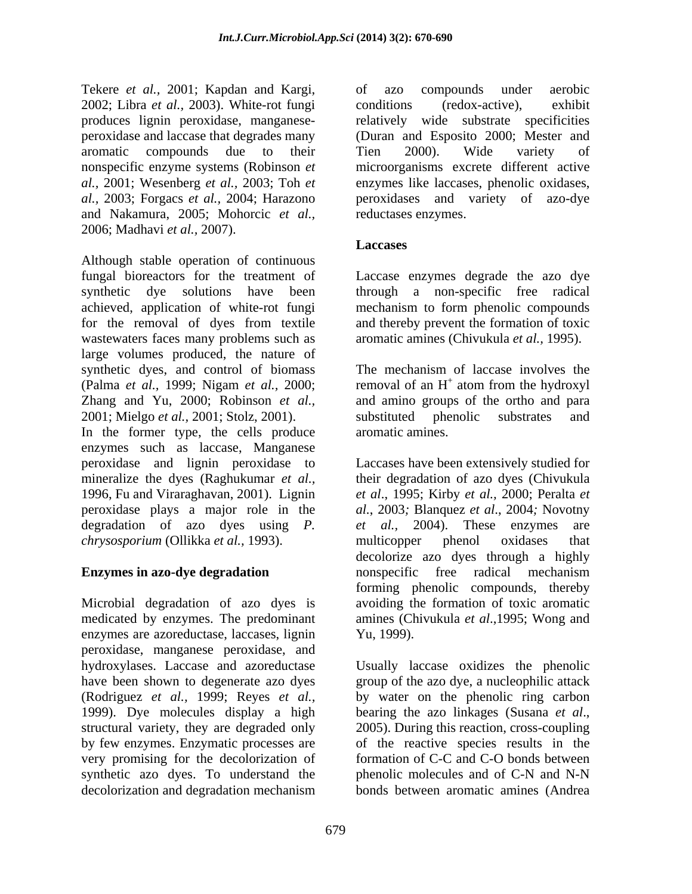Tekere *et al.,* 2001; Kapdan and Kargi, 2002; Libra *et al.,* 2003). White-rot fungi produces lignin peroxidase, manganese and Nakamura, 2005; Mohorcic *et al.,* 2006; Madhavi *et al.,* 2007).

Although stable operation of continuous fungal bioreactors for the treatment of Laccase enzymes degrade the azo dye synthetic dye solutions have been through a non-specific free radical achieved, application of white-rot fungi mechanism to form phenolic compounds for the removal of dyes from textile and thereby prevent the formation of toxic wastewaters faces many problems such as large volumes produced, the nature of synthetic dyes, and control of biomass The mechanism of laccase involves the (Palma *et al.,* 1999; Nigam *et al.,* 2000; removal of an H Zhang and Yu, 2000; Robinson *et al.,* and amino groups of the ortho and para 2001; Mielgo *et al.,* 2001; Stolz, 2001).

In the former type, the cells produce aromatic amines. enzymes such as laccase, Manganese peroxidase and lignin peroxidase to Laccases have been extensively studied for mineralize the dyes (Raghukumar *et al.,* their degradation of azo dyes (Chivukula 1996, Fu and Viraraghavan, 2001). Lignin *et al*., 1995; Kirby *et al.,* 2000; Peralta *et*  peroxidase plays a major role in the *al.*, 2003*;* Blanquez *et al*., 2004*;* Novotny degradation of azo dyes using *P*. *et al.*, 2004). These enzymes are *chrysosporium* (Ollikka *et al.,* 1993).

Microbial degradation of azo dyes is avoiding the formation of toxic aromatic medicated by enzymes. The predominant amines (Chivukula *et al*.,1995; Wong and enzymes are azoreductase, laccases, lignin Yu, 1999). peroxidase, manganese peroxidase, and hydroxylases. Laccase and azoreductase Usually laccase oxidizes the phenolic have been shown to degenerate azo dyes group of the azo dye, a nucleophilic attack (Rodriguez *et al.,* 1999; Reyes *et al.,* by water on the phenolic ring carbon 1999). Dye molecules display a high bearing the azo linkages (Susana et al., structural variety, they are degraded only 2005). During this reaction, cross-coupling by few enzymes. Enzymatic processes are of the reactive species results in the very promising for the decolorization of formation of C-C and C-O bonds between synthetic azo dyes. To understand the phenolic molecules and of C-N and N-N decolorization and degradation mechanism bonds between aromatic amines (Andrea

peroxidase and laccase that degrades many (Duran and Esposito 2000; Mester and aromatic compounds due to their Tien 2000). Wide variety of nonspecific enzyme systems (Robinson *et*  microorganisms excrete different active *al.,* 2001; Wesenberg *et al.,* 2003; Toh *et*  enzymes likelaccases, phenolic oxidases, *al.,* 2003; Forgacs *et al.,* 2004; Harazono peroxidases and variety of azo-dye of azo compounds under aerobic conditions (redox-active), exhibit relatively wide substrate specificities Tien 2000). Wide variety of reductases enzymes.

## **Laccases**

aromatic amines (Chivukula *et al.,* 1995).

The mechanism of laccase involves the  $^+$  atom from the hydroxyl atom from the hydroxyl substituted phenolic substrates and aromatic amines.

**Enzymes in azo-dye degradation** *nonspecific* free radical mechanism 2004). These enzymes multicopper phenol oxidases that decolorize azo dyes through a highly nonspecific free radical mechanism forming phenolic compounds, thereby Yu, 1999).

> bearing the azo linkages (Susana *et al*., 2005). During this reaction, cross-coupling phenolic molecules and of C-N and N-N bonds between aromatic amines (Andrea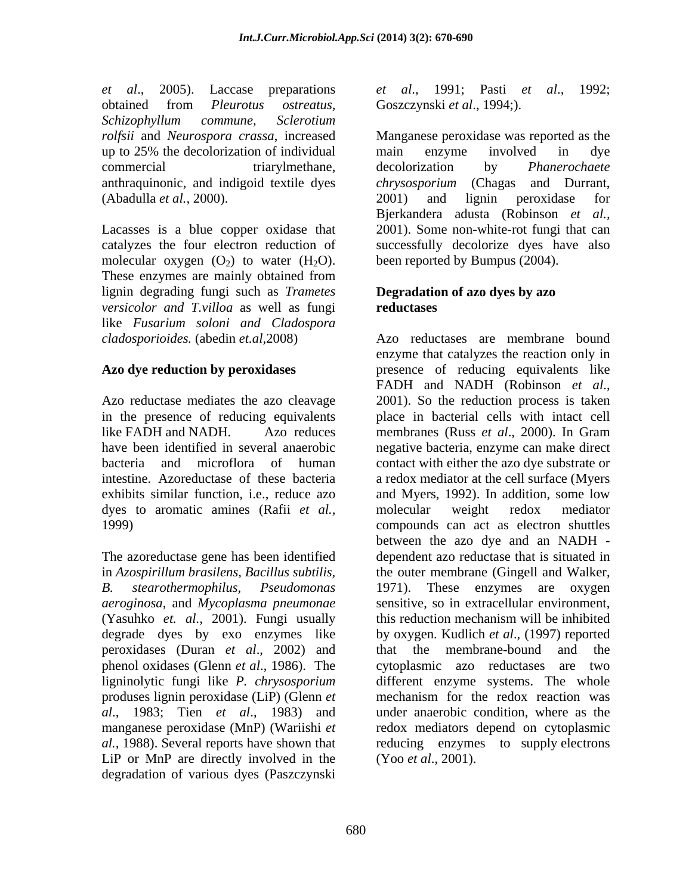*et al*., 2005). Laccase preparations *et al*., 1991; Pasti *et al*., 1992; obtained from *Pleurotus ostreatus, Schizophyllum commune, Sclerotium* (Abadulla *et al.,* 2000).

molecular oxygen  $(O_2)$  to water  $(H_2O)$ . These enzymes are mainly obtained from lignin degrading fungi such as *Trametes versicolor and T.villoa* as well as fungi like *Fusarium soloni and Cladospora*

Azo reductase mediates the azo cleavage 2001). So the reduction process is taken like FADH and NADH. Azo reduces membranes (Russ *et al.*, 2000). In Gram dyes to aromatic amines (Rafii *et al.,*

The azoreductase gene has been identified *aeroginosa*, and *Mycoplasma pneumonae* (Yasuhko *et. al.,* 2001). Fungi usually degrade dyes by exo enzymes like peroxidases (Duran *et al*., 2002) and produses lignin peroxidase (LiP) (Glenn *et al*., 1983; Tien *et al*., 1983) and LiP or MnP are directly involved in the degradation of various dyes (Paszczynski

Goszczynski *et al*., 1994;).

*rolfsii* and *Neurospora crassa*, increased Manganese peroxidase was reported as the up to 25% the decolorization of individual commercial triarylmethane, decolorization by *Phanerochaete* anthraquinonic, and indigoid textile dyes *chrysosporium* (Chagas and Durrant, Lacasses is a blue copper oxidase that 2001). Some non-white-rot fungi that can catalyzes the four electron reduction of successfully decolorize dyes have also main enzyme involved in dye decolorization by *Phanerochaete*  2001) and lignin peroxidase for Bjerkandera adusta (Robinson *et al.,* been reported by Bumpus (2004).

### **Degradation of azo dyes by azo reductases**

*cladosporioides.* (abedin *et.al,*2008) Azo reductases are membrane bound **Azo dye reduction by peroxidases** presence of reducing equivalents like in the presence of reducing equivalents place in bacterial cells with intact cell have been identified in several anaerobic negative bacteria, enzyme can make direct bacteria and microflora of human contact with either the azo dye substrate or intestine. Azoreductase of these bacteria a redox mediator at the cell surface (Myers exhibits similar function, i.e., reduce azo and Myers, 1992). In addition, some low 1999) compounds can act as electron shuttles in *Azospirillum brasilens, Bacillus subtilis,*  the outer membrane (Gingell and Walker, *B. stearothermophilus, Pseudomonas* 1971). These enzymes are oxygen phenol oxidases (Glenn *et al*., 1986). The cytoplasmic azo reductases are two ligninolytic fungi like *P. chrysosporium* different enzyme systems. The whole manganese peroxidase (MnP) (Wariishi *et*  redox mediators depend on cytoplasmic *al.,* 1988). Several reports have shown that reducing enzymes to supply electrons enzyme that catalyzes the reaction only in FADH and NADH (Robinson *et al.*, 2001). So the reduction process is taken membranes (Russ *et al.*, 2000). In Gram molecular weight redox mediator between the azo dye and an NADH dependent azo reductase that is situated in sensitive, so in extracellular environment, this reduction mechanism will be inhibited by oxygen. Kudlich *et al*., (1997) reported that the membrane-bound mechanism for the redox reaction was under anaerobic condition, where as the (Yoo *et al*., 2001).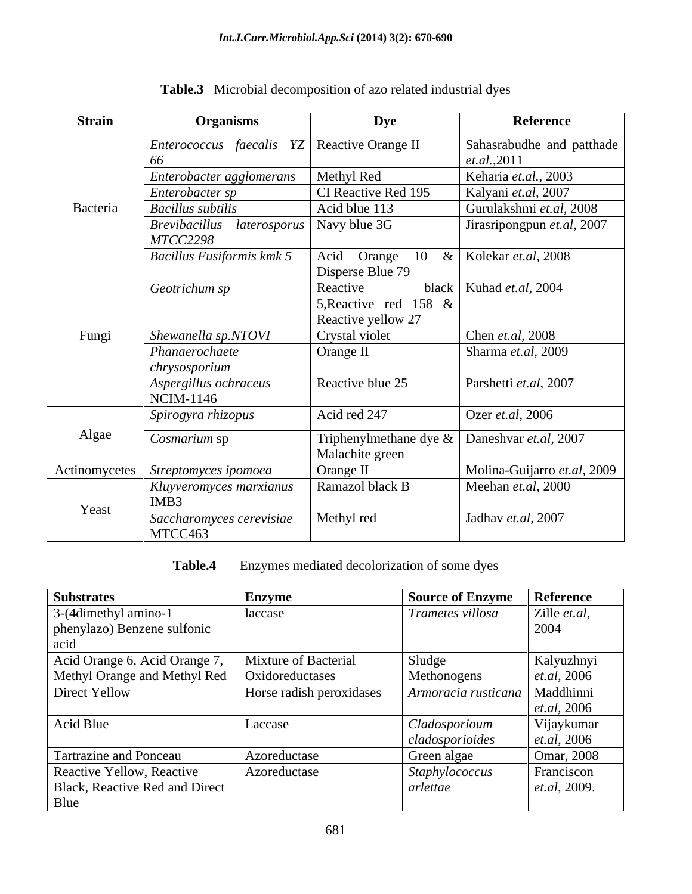| <b>Strain</b> | <b>Organisms</b>                                     | <b>Dye</b>                                              | Reference                          |
|---------------|------------------------------------------------------|---------------------------------------------------------|------------------------------------|
|               | <i>Enterococcus faecalis YZ</i>   Reactive Orange II |                                                         | Sahasrabudhe and patthade          |
|               | -66                                                  |                                                         | et. al., 2011                      |
|               | Enterobacter agglomerans                             | Methyl Red                                              | Keharia et.al., 2003               |
|               | Enterobacter sp                                      | CI Reactive Red 195                                     | Kalyani et.al, 2007                |
| Bacteria      | <b>Bacillus</b> subtilis                             | Acid blue 113                                           | Gurulakshmi et.al, 2008            |
|               | $Brevibacillus$ <i>laterosporus</i> Navy blue 3G     |                                                         | Jirasripongpun et.al, 2007         |
|               | <i>MTCC2298</i>                                      |                                                         |                                    |
|               | Bacillus Fusiformis kmk 5                            | Acid Orange                                             | 10 &   Kolekar <i>et.al</i> , 2008 |
|               |                                                      | Disperse Blue 79                                        |                                    |
|               | Geotrichum sp                                        | Reactive<br>5, Reactive red 158 $\&$                    | black   Kuhad <i>et.al</i> , 2004  |
|               |                                                      | Reactive yellow 27                                      |                                    |
| Fungi         | Shewanella sp.NTOVI                                  | Crystal violet                                          | Chen et.al, 2008                   |
|               | Phanaerochaete                                       | Orange II                                               | Sharma et.al, 2009                 |
|               | chrysosporium                                        |                                                         |                                    |
|               | Aspergillus ochraceus                                | Reactive blue 25                                        | Parshetti et.al, 2007              |
|               | NCIM-1146                                            |                                                         |                                    |
|               | Spirogyra rhizopus                                   | Acid red 247                                            | Ozer et.al, 2006                   |
| Algae         |                                                      | Triphenylmethane dye $\&$ Daneshvar <i>et.al</i> , 2007 |                                    |
|               | Cosmarium sp                                         | Malachite green                                         |                                    |
| Actinomycetes | Streptomyces ipomoea                                 | Orange II                                               | Molina-Guijarro et.al, 2009        |
|               | Kluyveromyces marxianus                              | Ramazol black B                                         | Meehan et.al, 2000                 |
| Yeast         | IMB3                                                 |                                                         |                                    |
|               | Saccharomyces cerevisiae                             | Methyl red                                              | Jadhav et.al, 2007                 |
|               | MTCC463                                              |                                                         |                                    |

**Table.3** Microbial decomposition of azo related industrial dyes

**Table.4** Enzymes mediated decolorization of some dyes

| <b>Substrates</b>              | <b>Enzyme</b>            | <b>Source of Enzyme</b> | Reference          |
|--------------------------------|--------------------------|-------------------------|--------------------|
| 3-(4dimethyl amino-1           | laccase                  | Trametes villosa        | Zille et.al,       |
| phenylazo) Benzene sulfonic    |                          |                         | 2004               |
| acid                           |                          |                         |                    |
| Acid Orange 6, Acid Orange 7,  | Mixture of Bacterial     | Sludge                  | Kalyuzhnyi         |
| Methyl Orange and Methyl Red   | Oxidoreductases          | Methonogens             | <i>et.al,</i> 2006 |
| Direct Yellow                  | Horse radish peroxidases | Armoracia rusticana     | Maddhinni          |
|                                |                          |                         | et.al, 2006        |
| Acid Blue                      | Laccase                  | Cladosporioum           | Vijaykumar         |
|                                |                          | cladosporioides         | <i>et.al,</i> 2006 |
| Tartrazine and Ponceau         | Azoreductase             | Green algae             | Omar, 2008         |
| Reactive Yellow, Reactive      | Azoreductase             | Staphylococcus          | Franciscon         |
| Black, Reactive Red and Direct |                          | arlettae                | et.al, 2009.       |
| Blue                           |                          |                         |                    |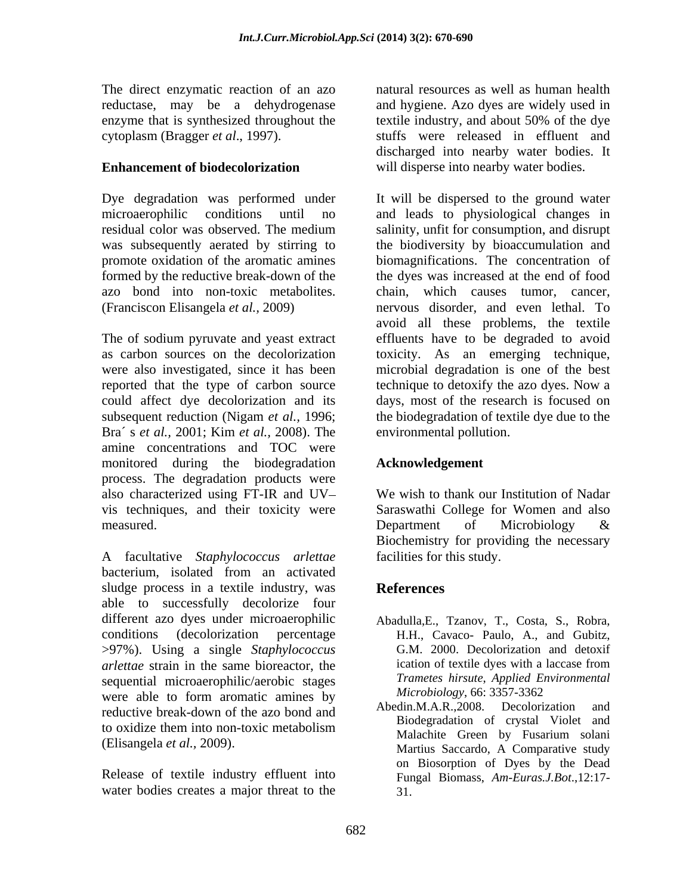The direct enzymatic reaction of an azo enzyme that is synthesized throughout the textile industry, and about 50% of the dye

azo bond into non-toxic metabolites.

Bra´ s *et al.,* 2001; Kim *et al.,*2008). The amine concentrations and TOC were monitored during the biodegradation process. The degradation products were also characterized using FT-IR and UV vis techniques, and their toxicity were Saraswathi College for Women and also measured. Department of Microbiology &

A facultative *Staphylococcus arlettae* bacterium, isolated from an activated sludge process in a textile industry, was **References** able to successfully decolorize four different azo dyes under microaerophilic Abadulla,E., Tzanov, T., Costa, S., Robra, conditions (decolorization percentage H.H., Cavaco- Paulo, A., and Gubitz, >97%). Using a single *Staphylococcus arlettae* strain in the same bioreactor, the sequential microaerophilic/aerobic stages Trametes hirsute, Applied Ei<br>were able to form aromatic amines by Microbiology, 66: 3357-3362 were able to form aromatic amines by  $\frac{Microology, 66:3357-3362}{M1.1 \cdot M1.0 \cdot 2000 \cdot N}$ reductive break-down of the azo bond and<br>Redin.M.A.R.,2008. Decolorization and to oxidize them into non-toxic metabolism<br>Melechite Green by Eugenium coloni

Release of textile industry effluent into water bodies creates a major threat to the

reductase, may be a dehydrogenase and hygiene. Azo dyes arewidely used in cytoplasm (Bragger *et al*., 1997). stuffs were released in effluent and **Enhancement of biodecolorization** will disperse into nearby water bodies. natural resources as well as human health textile industry, and about 50% of the dye discharged into nearby water bodies. It

Dye degradation was performed under It will be dispersed to the ground water microaerophilic conditions until no and leads to physiological changes in residual color was observed. The medium salinity, unfit for consumption, and disrupt was subsequently aerated by stirring to the biodiversity by bioaccumulation and promote oxidation of the aromatic amines biomagnifications. The concentration of formed by the reductive break-down of the the dyes was increased at the end of food (Franciscon Elisangela *et al.,* 2009) nervous disorder, and even lethal. To The of sodium pyruvate and yeast extract effluents have to be degraded to avoid as carbon sources on the decolorization toxicity. As an emerging technique, were also investigated, since it has been microbial degradation is one of the best reported that the type of carbon source technique to detoxify the azo dyes. Now a could affect dye decolorization and its days, most of the research is focused on subsequent reduction (Nigam *et al.,* 1996; the biodegradation of textile dye due to the chain, which causes tumor, cancer, avoid all these problems, the textile environmental pollution.

## **Acknowledgement**

We wish to thank our Institution of Nadar Department of Microbiology & Biochemistry for providing the necessary facilities for this study.

# **References**

- G.M. 2000. Decolorization and detoxif ication of textile dyes with a laccase from *Trametes hirsute*, *Applied Environmental Microbiology*, 66: 3357-3362
- (Elisangela *et al.,* 2009). Martius Saccardo, A Comparative study Abedin.M.A.R.,2008. Decolorization and Biodegradation of crystal Violet and Malachite Green by Fusarium solani on Biosorption of Dyes by the Dead Fungal Biomass, *Am-Euras.J.Bot*.,12:17- 31.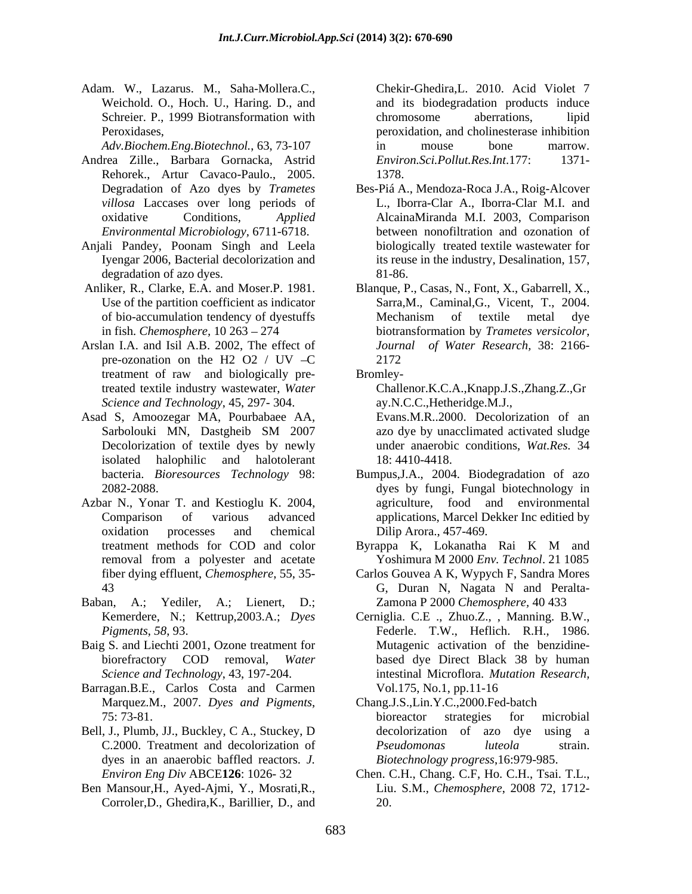Adam. W., Lazarus. M., Saha-Mollera.C., Weichold. O., Hoch. U., Haring. D., and and its biodegradation products induce Schreier. P., 1999 Biotransformation with chromosome aberrations, lipid Peroxidases, peroxidation, and cholinesterase inhibition

- Andrea Zille., Barbara Gornacka, Astrid Rehorek., Artur Cavaco-Paulo., 2005.
- Anjali Pandey, Poonam Singh and Leela degradation of azo dyes. 81-86.
- 
- Arslan I.A. and Isil A.B. 2002, The effect of treatment of raw and biologically pretreated textile industry wastewater, *Water*
- isolated halophilic and halotolerant
- Azbar N., Yonar T. and Kestioglu K. 2004,
- Baban, A.; Yediler, A.; Lienert, D.;
- Baig S. and Liechti 2001, Ozone treatment for Mutagenic activation of the benzidine-
- Barragan.B.E., Carlos Costa and Carmen
- Bell, J., Plumb, JJ., Buckley, C A., Stuckey, D dyes in an anaerobic baffled reactors. *J.*
- Ben Mansour,H., Ayed-Ajmi, Y., Mosrati,R., Corroler,D., Ghedira,K., Barillier, D., and

*Adv.Biochem.Eng.Biotechnol.*, 63, 73-107 Chekir-Ghedira,L. 2010. Acid Violet 7 chromosome aberrations, lipid in mouse bone marrow.  $Environ. Sci. Pollut. Res. Int. 177:$ 1378.

- Degradation of Azo dyes by *Trametes*  Bes-Piá A., Mendoza-Roca J.A., Roig-Alcover *villosa* Laccases over long periods of L., Iborra-Clar A., Iborra-Clar M.I. and oxidative Conditions, *Applied*  AlcainaMiranda M.I. 2003, Comparison *Environmental Microbiology,* 6711-6718. between nonofiltration and ozonation of Iyengar 2006, Bacterial decolorization and its reuse in the industry, Desalination, 157, biologically treated textile wastewater for 81-86.
- Anliker, R., Clarke, E.A. and Moser.P. 1981. Blanque, P., Casas, N., Font, X., Gabarrell, X., Use of the partition coefficient as indicator Sarra, M., Caminal, G., Vicent, T., 2004. of bio-accumulation tendency of dyestuffs in fish. *Chemosphere,* 10 263 274 biotransformation by *Trametes versicolor*, pre-ozonation on the H2 O2 / UV  $-C$  2172 Sarra,M., Caminal,G., Vicent, T., 2004. Mechanism of textile metal dye *Journal of Water Research,* 38: 2166- 2172
	- Bromley-

*Science and Technology*, 45, 297- 304. <br> **Asad S, Amoozegar MA, Pourbabaee AA, Evans.M.R..2000.** Decolorization of an Challenor.K.C.A.,Knapp.J.S.,Zhang.Z.,Gr ay.N.C.C.,Hetheridge.M.J.,

Sarbolouki MN, Dastgheib SM 2007 azo dye by unacclimated activated sludge Decolorization of textile dyes by newly under anaerobic conditions, *Wat.Res.* 34 Evans.M.R..2000. Decolorization of an azo dye by unacclimated activated sludge 18: 4410-4418.

- bacteria. *Bioresources Technology* 98: Bumpus,J.A., 2004. Biodegradation of azo 2082-2088. dyes by fungi, Fungal biotechnology in Comparison of various advanced applications, Marcel Dekker Inc editied by oxidation processes and chemical agriculture, food and environmental Dilip Arora., 457-469.
- treatment methods for COD and color Byrappa K, Lokanatha Rai K M and removal from a polyester and acetate Yoshimura M 2000 *Env. Technol*. 21 1085 Byrappa K, Lokanatha Rai K M and Yoshimura M 2000 *Env. Technol*. 21 1085
- fiber dying effluent, *Chemosphere*, 55, 35- Carlos Gouvea A K, Wypych F, Sandra Mores 43 G, Duran N, Nagata N and Peralta- Zamona P 2000 *Chemosphere,* 40 433
- Kemerdere, N.; Kettrup,2003.A.; *Dyes*  Cerniglia. C.E ., Zhuo.Z., , Manning. B.W., *Pigments*, *58*, 93. biorefractory COD removal, *Water*  based dye Direct Black 38 by human *Science and Technology*, 43, 197-204. intestinal Microflora. *Mutation Research,* Federle. T.W., Heflich. R.H., 1986. Mutagenic activation of the benzidine- Vol.175, No.1, pp.11-16
- Marquez.M., 2007. *Dyes and Pigments*, 75: 73-81. C.2000. Treatment and decolorization of *Pseudomonas luteola* strain. Chang.J.S.,Lin.Y.C.,2000.Fed-batch bioreactor strategies for microbial decolorization of azo dye using a *Pseudomonas luteola* strain. *Biotechnology progress*,16:979-985.
- *Environ Eng Div* ABCE**126**: 1026- 32 Chen. C.H., Chang. C.F, Ho. C.H., Tsai. T.L., Liu. S.M., *Chemosphere*, 2008 72, 1712- 20.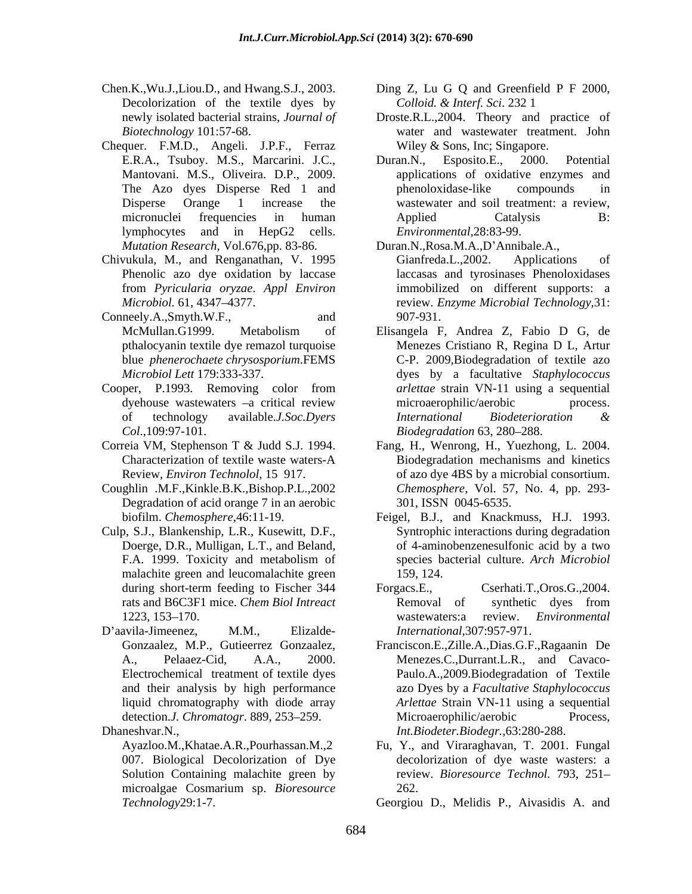- Chen.K.,Wu.J.,Liou.D., and Hwang.S.J., 2003. Ding Z, Lu G Q and Greenfield P F 2000, Decolorization of the textile dyes by Colloid. & Interf. Sci. 232 1
- Chequer. F.M.D., Angeli. J.P.F., Ferraz *Mutation Research,* Vol.676,pp. 83-86.
- Chivukula, M., and Renganathan, V. 1995 from *Pyricularia oryzae*. *Appl Environ*
- Conneely.A.,Smyth.W.F., and 907-931.
- Cooper, P.1993. Removing color from *Col*.,109:97-101.
- 
- Coughlin .M.F.,Kinkle.B.K.,Bishop.P.L.,2002 Degradation of acid orange 7 in an aerobic
- Culp, S.J., Blankenship, L.R., Kusewitt, D.F., Doerge, D.R., Mulligan, L.T., and Beland, malachite green and leucomalachite green 159, 124.
- 

microalgae Cosmarium sp. *Bioresource* 

- *Colloid. & Interf. Sci*. 232 1
- newly isolated bacterial strains, *Journal of* Droste.R.L.,2004. Theory and practice of *Biotechnology* 101:57-68. water and wastewater treatment. John Wiley & Sons, Inc; Singapore.
- E.R.A., Tsuboy. M.S., Marcarini. J.C., Duran.N., Esposito.E., 2000. Potential Mantovani. M.S., Oliveira. D.P., 2009. applications of oxidative enzymes and The Azo dyes Disperse Red 1 and Disperse Orange 1 increase the wastewater and soil treatment: a review, micronuclei frequencies in human Applied Catalysis B: lymphocytes and in HepG2 cells. Environmental, 28:83-99. Duran.N., Esposito.E., 2000. Potential phenoloxidase-like compounds in Applied Catalysis B: *Environmental*,28:83-99.
	- Duran.N.,Rosa.M.A.,D'Annibale.A.,

Phenolic azo dye oxidation by laccase laccasas and tyrosinases Phenoloxidases *Microbiol.* 61, 4347 4377. review. *Enzyme Microbial Technology,*31: Gianfreda.L.,2002. Applications of immobilized on different supports: a 907-931.

- McMullan.G1999. Metabolism of Elisangela F, Andrea Z, Fabio D G, de pthalocyanin textile dye remazol turquoise blue *phenerochaete chrysosporium*.FEMS C-P. 2009,Biodegradation of textile azo *Microbiol Lett* 179:333-337. dyes by a facultative *Staphylococcus*  dyehouse wastewaters  $-a$  critical review microaerophilic/aerobic process. of technology available.*J.Soc.Dyers*  Menezes Cristiano R, Regina D L, Artur *arlettae* strain VN-11 using a sequential microaerophilic/aerobic process. *International Biodeterioration & Biodegradation* 63, 280–288.
- Correia VM, Stephenson T & Judd S.J. 1994. Fang, H., Wenrong, H., Yuezhong, L. 2004. Characterization of textile waste waters-A Biodegradation mechanisms and kinetics Review, *Environ Technolol,* 15 917. of azo dye 4BS by a microbial consortium. *Chemosphere*, Vol. 57, No. 4, pp. 293- 301, ISSN 0045-6535.
	- biofilm. *Chemosphere*,46:11-19. Feigel, B.J., and Knackmuss, H.J. 1993. F.A. 1999. Toxicity and metabolism of species bacterial culture. Arch Microbiol Syntrophic interactions during degradation of 4-aminobenzenesulfonic acid by a two species bacterial culture. *Arch Microbiol* 159, 124.
- during short-term feeding to Fischer 344 Forgacs.E., Cserhati.T.,Oros.G.,2004. rats and B6C3F1 mice. *Chem Biol Intreact*  1223, 153–170. wastewaters: a review. *Environmental* D'aavila-Jimeenez, M.M., Elizalde- *International*, 307:957-971. Forgacs.E., Cserhati.T.,Oros.G.,2004. Removal of synthetic dyes from wastewaters:a review. *Environmental International*,307:957-971.
- Gonzaalez, M.P., Gutieerrez Gonzaalez, Franciscon.E.,Zille.A.,Dias.G.F.,Ragaanin De A., Pelaaez-Cid, A.A., 2000. Menezes.C.,Durrant.L.R., and Cavaco- Electrochemical treatment of textile dyes Paulo.A.,2009.Biodegradation of Textile and their analysis by high performance azo Dyes by a *Facultative Staphylococcus* liquid chromatography with diode array *Arlettae* Strain VN-11 using a sequential detection.*J. Chromatogr.* 889, 253–259. Microaerophilic/aerobic Process, Dhaneshvar.N., *Int.Biodeter.Biodegr.*,63:280-288. Microaerophilic/aerobic Process,
	- Ayazloo.M.,Khatae.A.R.,Pourhassan.M.,2 Fu, Y., and Viraraghavan, T. 2001. Fungal 007. Biological Decolorization of Dye decolorization of dye waste wasters: a Solution Containing malachite green by review. *Bioresource Technol.* 793, 251 262.

*Technology*29:1-7. Georgiou D., Melidis P., Aivasidis A. and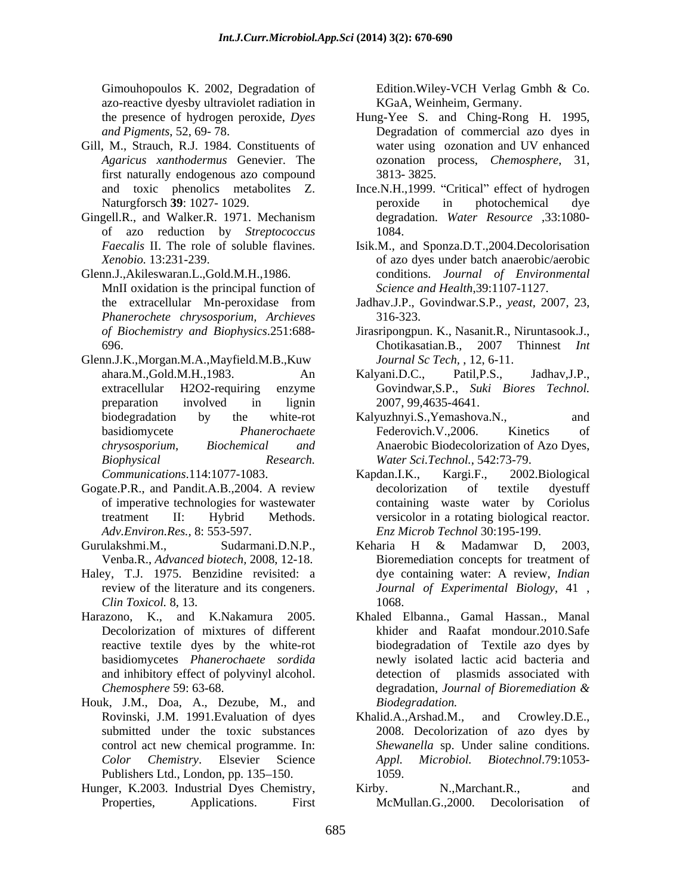Gimouhopoulos K. 2002, Degradation of Edition. Wiley-VCH Verlag Gmbh & Co. azo-reactive dyesby ultraviolet radiation in

- Gill, M., Strauch, R.J. 1984. Constituents of water using ozonation and UV enhanced first naturally endogenous azo compound 3813-3825.
- Gingell.R., and Walker.R. 1971. Mechanism of azo reduction by *Streptococcus*
- Glenn.J.,Akileswaran.L.,Gold.M.H.,1986. conditions. *Journal of Environmental* MnII oxidation is the principal function of *Phanerochete chrysosporium, Archieves*
- Glenn.J.K.,Morgan.M.A.,Mayfield.M.B.,Kuw *Biophysical Research. Water Sci.Technol.*, 542:73-79.
- Gogate.P.R., and Pandit.A.B.,2004. A review
- Gurulakshmi.M., Sudarmani.D.N.P., Keharia H & Madamwar D, 2003,
- Haley, T.J. 1975. Benzidine revisited: a *Clin Toxicol.* 8, 13.
- Harazono, K., and K.Nakamura 2005. Khaled Elbanna., Gamal Hassan., Manal
- Houk, J.M., Doa, A., Dezube, M., and Publishers Ltd., London, pp. 135–150. 1059.
- Hunger, K.2003. Industrial Dyes Chemistry, Kirby. N., Marchant.R., and

Edition.Wiley-VCH Verlag Gmbh & Co. KGaA, Weinheim, Germany.

- the presence of hydrogen peroxide, *Dyes*  Hung-Yee S. and Ching-Rong H. 1995, *and Pigments*, 52, 69- 78. Degradation of commercial azo dyes in *Agaricus xanthodermus* Genevier. The ozonation process, *Chemosphere*, 31, water using ozonation and UV enhanced 3813- 3825.
- and toxic phenolics metabolites Z. Ince.N.H.,1999. "Critical" effect of hydrogen Naturgforsch **39**: 1027- 1029. peroxide in photochemical dye degradation. *Water Resource* ,33:1080- 1084.
- *Faecalis* II. The role of soluble flavines. Isik.M., and Sponza.D.T.,2004.Decolorisation *Xenobio.* 13:231-239. of azo dyes under batch anaerobic/aerobic *Science and Health*,39:1107-1127.
- the extracellular Mn-peroxidase from Jadhav.J.P., Govindwar.S.P., *yeast,* 2007, 23, 316-323.
- *of Biochemistry and Biophysics*.251:688- Jirasripongpun. K., Nasanit.R., Niruntasook.J., 696. Chotikasatian.B., 2007 Thinnest *Int Journal Sc Tech,* , 12, 6-11.
- ahara.M.,Gold.M.H.,1983. An extracellular H2O2-requiring enzyme Govindwar,S.P., *Suki Biores Technol.* preparation involved in lignin 2007, 99,4635-4641. Kalyani.D.C., Patil,P.S., Jadhav,J.P., 2007, 99,4635-4641.
- biodegradation by the white-rot Kalyuzhnyi.S., Yemashova.N., and basidiomycete *Phanerochaete chrysosporium*, *Biochemical and* Anaerobic Biodecolorization of Azo Dyes, Kalyuzhnyi.S.,Yemashova.N., and Federovich.V.,2006. Kinetics of
- *Communications*.114:1077-1083. of imperative technologies for wastewater containing waste water by Coriolus treatment II: Hybrid Methods. versicolor in a rotating biological reactor. *Adv.Environ.Res.,* 8: 553-597. *Enz Microb Technol* 30:195-199. Kapdan.I.K., Kargi.F., 2002.Biological decolorization of textile dyestuff
- Venba.R., *Advanced biotech,* 2008, 12-18. Bioremediation concepts for treatment of review of the literature and its congeners. *Journal of Experimental Biology*, 41 , Keharia H & Madamwar D, 2003, dye containing water: A review, *Indian*  1068.
- Decolorization of mixtures of different khider and Raafat mondour.2010.Safe reactive textile dyes by the white-rot biodegradation of Textile azo dyes by basidiomycetes *Phanerochaete sordida* newly isolated lactic acid bacteria and and inhibitory effect of polyvinyl alcohol. detection of plasmids associated with *Chemosphere* 59: 63-68. degradation, *Journal of Bioremediation & Biodegradation.*
- Rovinski, J.M. 1991.Evaluation of dyes submitted under the toxic substances 2008. Decolorization of azo dyes by control act new chemical programme. In: *Shewanella* sp. Under saline conditions. *Color Chemistry*. Elsevier Science *Appl. Microbiol. Biotechnol.*79:1053-Khalid.A.,Arshad.M., and Crowley.D.E., *Appl. Microbiol. Biotechnol*.79:1053- 1059.
- Properties, Applications. First McMullan.G.,2000. Decolorisation ofKirby. N., Marchant. R., and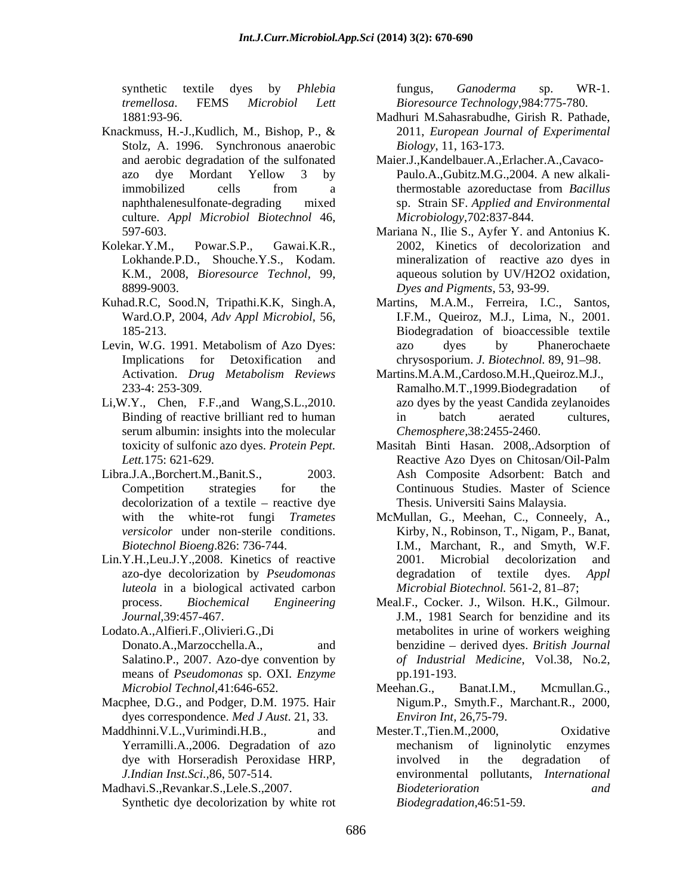synthetic textile dyes by *Phlebia tremellosa*. FEMS *Microbiol Lett Bioresource Technology*,984:775-780.

- Knackmuss, H.-J.,Kudlich, M., Bishop, P., & Stolz, A. 1996. Synchronous anaerobic culture. *Appl Microbiol Biotechnol* 46,
- 
- Kuhad.R.C, Sood.N, Tripathi.K.K, Singh.A,
- 
- Li,W.Y., Chen, F.F.,and Wang,S.L.,2010. serum albumin: insights into the molecular
- $decolorization$  of a textile reactive dye
- Lin.Y.H.,Leu.J.Y.,2008. Kinetics of reactive 2001. Microbial decolorization and *luteola* in a biological activated carbon
- means of *Pseudomonas* sp. OXI. *Enzyme*
- Macphee, D.G., and Podger, D.M. 1975. Hair dyes correspondence. *Med J Aust*. 21, 33.
- Maddhinni.V.L.,Vurimindi.H.B., and Mester.T.,Tien.M.,2000, Oxidative

Synthetic dye decolorization by white rot

fungus, *Ganoderma* sp. WR-1.

- 1881:93-96. Madhuri M.Sahasrabudhe, Girish R. Pathade, 2011, *European Journal of Experimental Biology*, 11, 163-173.
- and aerobic degradation of the sulfonated Maier.J.,Kandelbauer.A.,Erlacher.A.,Cavaco azo dye Mordant Yellow 3 by Paulo.A.,Gubitz.M.G.,2004. A new alkaliimmobilized cells from a thermostable azoreductase from *Bacillus* naphthalenesulfonate-degrading mixed sp. Strain SF. *Applied and Environmental* thermostable azoreductase from *Bacillus Microbiology*,702:837-844.
- 597-603. Mariana N., Ilie S., Ayfer Y. and Antonius K. Kolekar.Y.M., Powar.S.P., Gawai.K.R., 2002, Kinetics of decolorization and Lokhande.P.D., Shouche.Y.S., Kodam. mineralization of reactive azo dyes in K.M., 2008, *Bioresource Technol,* 99, aqueous solution by UV/H2O2 oxidation, 8899-9003. *Dyes and Pigments*, 53, 93-99.
- Ward.O.P, 2004, *Adv Appl Microbiol*, 56, I.F.M., Queiroz, M.J., Lima, N., 2001. 185-213. Biodegradation of bioaccessible textile Levin, W.G. 1991. Metabolism of Azo Dyes: <br>azo dyes by Phanerochaete Implications for Detoxification and chrysosporium. *J. Biotechnol*. 89, 91–98. Martins, M.A.M., Ferreira, I.C., Santos, azo dyes by Phanerochaete
	- Activation. *Drug Metabolism Reviews* Martins.M.A.M.,Cardoso.M.H.,Queiroz.M.J., 233-4: 253-309. Ramalho.M.T.,1999.Biodegradation of Binding of reactive brilliant red to human in batch aerated cultures, azo dyes by the yeast Candida zeylanoides in batch aerated cultures, *Chemosphere*,38:2455-2460.
- toxicity of sulfonic azo dyes. *Protein Pept.*  Masitah Binti Hasan. 2008,.Adsorption of *Lett.*175: 621-629. Reactive Azo Dyes on Chitosan/Oil-Palm Libra.J.A.,Borchert.M.,Banit.S., 2003. Ash Composite Adsorbent: Batch and Competition strategies for the Continuous Studies. Master of Science Thesis. Universiti Sains Malaysia.
	- with the white-rot fungi *Trametes*  McMullan, G., Meehan, C., Conneely, A., *versicolor* under non-sterile conditions. Kirby, N., Robinson, T., Nigam, P., Banat, *Biotechnol Bioeng*.826: 736-744. I.M., Marchant, R., and Smyth, W.F. azo-dye decolorization by *Pseudomonas*  2001. Microbial decolorization and degradation of textile dyes. *Appl Microbial Biotechnol.* 561-2, 81-87;
- process. *Biochemical Engineering* Meal.F., Cocker. J., Wilson. H.K., Gilmour. *Journal*,39:457-467. J.M., 1981 Search for benzidine and its Lodato.A.,Alfieri.F.,Olivieri.G.,Di metabolites in urine of workers weighing Donato.A.,Marzocchella.A., and benzidine derived dyes. *British Journal* Salatino.P., 2007. Azo-dye convention by *of Industrial Medicine*, Vol.38, No.2, pp.191-193.
	- *Microbiol Technol*,41:646-652. Meehan.G., Banat.I.M., Mcmullan.G., Nigum.P., Smyth.F., Marchant.R., 2000, *Environ Int,* 26,75-79.
- Yerramilli.A.,2006. Degradation of azo dye with Horseradish Peroxidase HRP, *J.Indian Inst.Sci.,*86, 507-514. environmental pollutants,*International*  Madhavi.S.,Revankar.S.,Lele.S.,2007. Mester.T.,Tien.M.,2000, Oxidative mechanism of ligninolytic enzymes involved in the degradation of *Biodeterioration and Biodegradation*,46:51-59.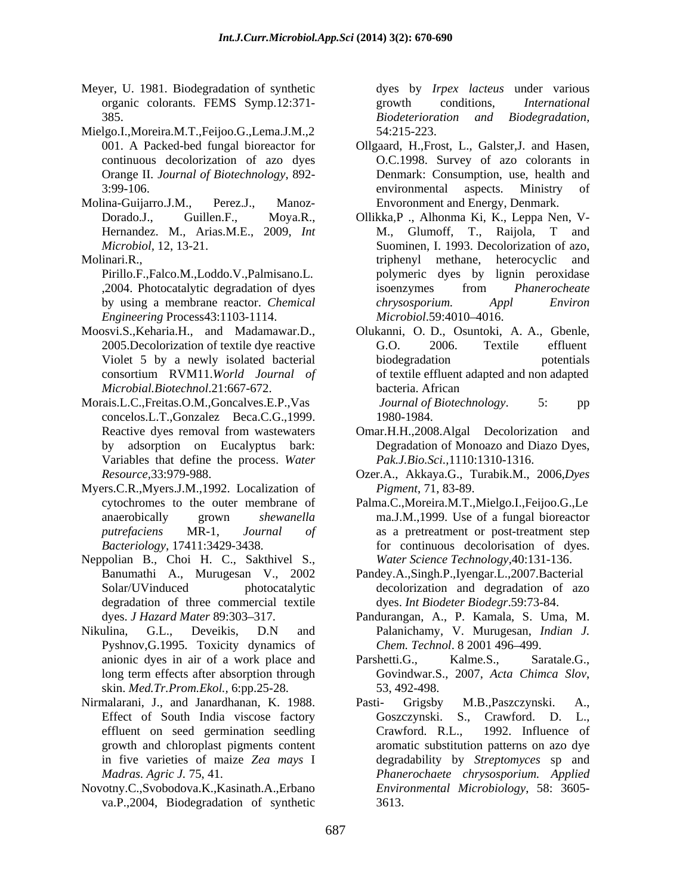- Meyer, U. 1981. Biodegradation of synthetic organic colorants. FEMS Symp.12:371- growth conditions, *International* 385. **Supervisode Studiers** Exercise *Biodeterioration* and *Biodegradation*,
- Mielgo.I.,Moreira.M.T.,Feijoo.G.,Lema.J.M.,2
- 

- *Engineering* Process43:1103-1114.
- *Microbial.Biotechnol*.21:667-672.
- concelos.L.T.,Gonzalez Beca.C.G.,1999. Variables that define the process. *Water*
- Myers.C.R.,Myers.J.M.,1992. Localization of
- Neppolian B., Choi H. C., Sakthivel S., degradation of three commercial textile
- Nikulina, G.L., Deveikis, D.N and Palanichamy, V. Murugesan, *Indian J.* Pyshnov,G.1995. Toxicity dynamics of skin. *Med.Tr.Prom.Ekol.,* 6:pp.25-28.
- Nirmalarani, J., and Janardhanan, K. 1988. Pasti- Grigsby M.B., Paszczynski. A.,
- Novotny.C.,Svobodova.K.,Kasinath.A.,Erbano va.P.,2004, Biodegradation of synthetic

dyes by *Irpex lacteus* under various growth conditions, *International Biodeterioration and Biodegradation,* 54:215-223.

- 001. A Packed-bed fungal bioreactor for Ollgaard, H.,Frost, L., Galster,J. and Hasen, continuous decolorization of azo dyes O.C.1998. Survey of azo colorants in Orange II. *Journal of Biotechnology*, 892- Denmark: Consumption, use, health and 3:99-106. The environmental aspects. Ministry of Molina-Guijarro.J.M., Perez.J., Manoz- Envoronment and Energy, Denmark. environmental aspects. Ministry of
- Dorado.J., Guillen.F., Moya.R., Ollikka,P ., Alhonma Ki, K., Leppa Nen, V- Hernandez. M., Arias.M.E., 2009, *Int Microbiol,* 12, 13-21. Suominen, I. 1993. Decolorization of azo, Molinari.R., triphenyl methane, heterocyclic and Pirillo.F.,Falco.M.,Loddo.V.,Palmisano.L. polymeric dyes by lignin peroxidase ,2004. Photocatalytic degradation of dyes by using a membrane reactor. *Chemical*  M., Glumoff, T., Raijola, T and triphenyl methane, heterocyclic and isoenzymes from *Phanerocheate chrysosporium. Appl Environ Microbiol*.59:4010 4016.
- Moosvi.S.,Keharia.H., and Madamawar.D., Olukanni, O. D., Osuntoki, A. A., Gbenle, 2005.Decolorization of textile dye reactive G.O. 2006. Textile effluent Violet 5 by a newly isolated bacterial biodegradation by potentials consortium RVM11.*World Journal of* of textile effluent adapted and non adapted Morais.L.C.,Freitas.O.M.,Goncalves.E.P.,Vas *Journal of Biotechnology*. 5: pp G.O. 2006. Textile effluent biodegradation potentials bacteria. African *Journal of Biotechnology*. 5: pp

Reactive dyes removal from wastewaters 1980-1984. Omar.H.H.,2008.Algal Decolorization and

- by adsorption on Eucalyptus bark: Degradation of Monoazo and Diazo Dyes, *Pak.J.Bio.Sci.,*1110:1310-1316.
- *Resource,*33:979-988. Ozer.A., Akkaya.G., Turabik.M., 2006,*Dyes Pigment*, 71, 83-89.
- cytochromes to the outer membrane of Palma.C.,Moreira.M.T.,Mielgo.I.,Feijoo.G.,Le anaerobically grown *shewanella*  ma.J.M.,1999. Use of a fungal bioreactor *putrefaciens* MR-1, *Journal of* as a pretreatment or post-treatment step *Bacteriology,* 17411:3429-3438. for continuous decolorisation of dyes. *Water Science Technology*,40:131-136.
- Banumathi A., Murugesan V., 2002 Pandey.A.,Singh.P.,Iyengar.L.,2007.Bacterial Solar/UVinduced photocatalytic decolorization and degradation of azo dyes. *Int Biodeter Biodegr*.59:73-84.
- dyes. *J Hazard Mater* 89:303–317. **Pandurangan, A., P. Kamala, S. Uma, M.** Palanichamy, V. Murugesan, *Indian J. Chem. Technol.* 8 2001 496-499.
- anionic dyes in air of a work place and Parshetti.G., Kalme.S., Saratale.G., long term effects after absorption through Govindwar.S., 2007, Acta Chimca Slov, Parshetti.G., Kalme.S., Saratale.G., Govindwar.S., 2007, *Acta Chimca Slov*, 53, 492-498.
- Effect of South India viscose factory **Configuration** Goszczynski. S., Crawford. D. L., effluent on seed germination seedling Crawford. R.L., 1992. Influence of growth and chloroplast pigments content aromatic substitution patterns on azo dye in five varieties of maize *Zea mays* I degradability by *Streptomyces* sp and *Madras. Agric J.* 75, 41. *Phanerochaete chrysosporium. Applied*  Pasti- Grigsby M.B.,Paszczynski. A., Goszczynski. S., Crawford. D. Crawford. R.L., 1992. Influence of *Environmental Microbiology*, 58: 3605- 3613.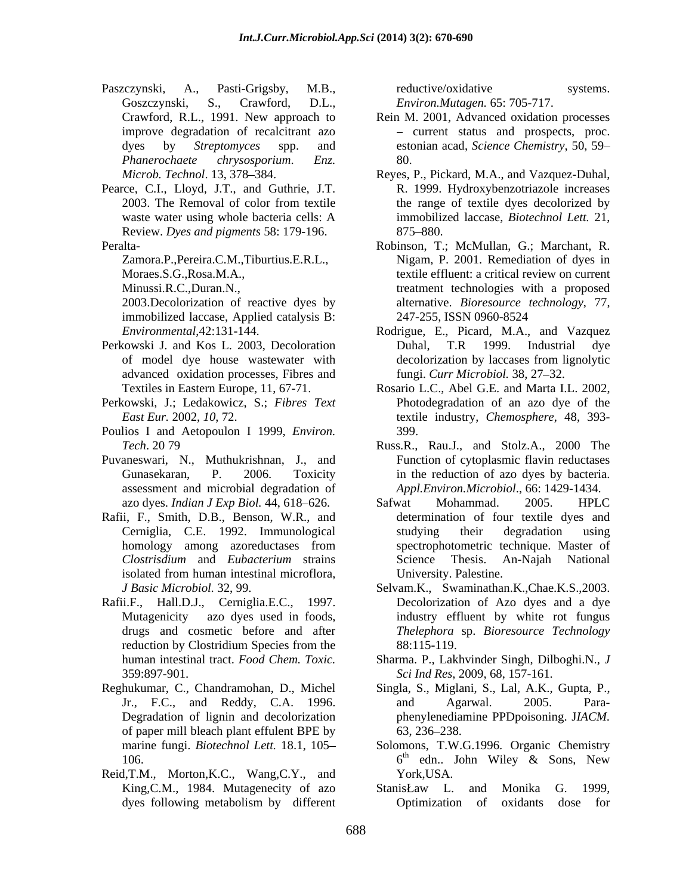- Paszczynski, A., Pasti-Grigsby, M.B., Goszczynski, S., Crawford, D.L., *Environ.Mutagen.* 65: 705-717.
- Pearce, C.I., Lloyd, J.T., and Guthrie, J.T. Review. *Dyes and pigments* 58: 179-196.

Zamora.P.,Pereira.C.M.,Tiburtius.E.R.L.,

immobilized laccase, Applied catalysis B:

- Perkowski J. and Kos L. 2003, Decoloration Duhal, T.R 1999. Industrial dye advanced oxidation processes, Fibres and
- Perkowski, J.; Ledakowicz, S.; *Fibres Text*
- Poulios I and Aetopoulon I 1999, *Environ.*
- Puvaneswari, N., Muthukrishnan, J., and assessment and microbial degradation of
- Rafii, F., Smith, D.B., Benson, W.R., and
- Rafii.F., Hall.D.J., Cerniglia.E.C., 1997. reduction by Clostridium Species from the  $88:115-119$ .
- of paper mill bleach plant effulent BPE by  $63, 236-238$ .<br>marine fungi. *Biotechnol Lett*. 18.1, 105- Solomons, T.W.
- Reid, T.M., Morton, K.C., Wang, C.Y., and York, USA.

reductive/oxidative systems.

- Crawford, R.L., 1991. New approach to Rein M. 2001, Advanced oxidation processes improve degradation of recalcitrant azo dyes by *Streptomyces* spp. and *Phanerochaete chrysosporium*. *Enz.*  - current status and prospects, proc.<br>estonian acad, *Science Chemistry*, 50, 59-80.
- Microb. Technol. 13, 378–384. **Reyes, P., Pickard, M.A., and Vazquez-Duhal**, 2003. The Removal of color from textile the range of textile dyes decolorized by waste water using whole bacteria cells: A immobilized laccase, *Biotechnol Lett*. 21, R. 1999. Hydroxybenzotriazole increases the range of textile dyes decolorized by immobilized laccase, *Biotechnol Lett.* 21, 875–880.
- Peralta- **Robinson, T.; McMullan, G.; Marchant, R.** Moraes.S.G.,Rosa.M.A., textile effluent: a critical review on current Minussi.R.C.,Duran.N., treatment technologies with a proposed 2003.Decolorization of reactive dyes by alternative. *Bioresource technology*, 77, Nigam, P. 2001. Remediation of dyes in 247-255, ISSN 0960-8524
	- *Environmental*,42:131-144. Rodrigue, E., Picard, M.A., and Vazquez of model dye house wastewater with Duhal, T.R 1999. Industrial dye decolorization by laccases from lignolytic fungi. *Curr Microbiol.* 38, 27–32.
	- Textiles in Eastern Europe, 11, 67-71. Rosario L.C., Abel G.E. and Marta I.L. 2002, *East Eur.* 2002, *10*, 72. textile industry, *Chemosphere*, 48, 393- Photodegradation of an azo dye of the 399.
	- *Tech*. 20 79 Russ.R., Rau.J., and Stolz.A., 2000 The Gunasekaran, P. 2006. Toxicity in the reduction of azo dyes by bacteria. Function of cytoplasmic flavin reductases *Appl.Environ.Microbiol*., 66: 1429-1434.
	- azo dyes. *Indian J Exp Biol.* 44, 618–626. Safwat Mohammad. 2005. HPLC Cerniglia, C.E. 1992. Immunological homology among azoreductases from spectrophotometric technique. Master of *Clostrisdium* and *Eubacterium* strains isolated from human intestinal microflora, Safwat Mohammad. 2005. HPLC determination of four textile dyes and studying their degradation using spectrophotometric technique. Master of Science Thesis. An-Najah National University. Palestine.
	- *J Basic Microbiol.* 32, 99. Selvam.K., Swaminathan.K.,Chae.K.S.,2003. Mutagenicity azo dyes used in foods, industry effluent by white rot fungus drugs and cosmetic before and after *Thelephora* sp. *Bioresource Technology* Decolorization of Azo dyes and a dye 88:115-119.
	- human intestinal tract. *Food Chem. Toxic.* Sharma. P., Lakhvinder Singh, Dilboghi.N., *J*  359:897-901. *Sci Ind Res*, 2009, 68, 157-161.
- Reghukumar, C., Chandramohan, D., Michel Singla, S., Miglani, S., Lal, A.K., Gupta, P., Jr., F.C., and Reddy, C.A. 1996. Degradation of lignin and decolorization phenylenediamine PPDpoisoning. J*IACM.* and Agarwal. 2005. Para- 63, 236 238.
	- marine fungi. *Biotechnol Lett.* 18.1, 105 Solomons, T.W.G.1996. Organic Chemistry 106.  $6<sup>th</sup>$  edn. John Wiley & Sons, New <sup>th</sup> edn.. John Wiley & Sons, New York,USA.
	- King, C.M., 1984. Mutagenecity of azo StanisŁaw L. and Monika G. 1999, dyes following metabolism by different **Optimization** of oxidants dose for Stanis Law L. and Monika G. 1999, Optimization of oxidants dose for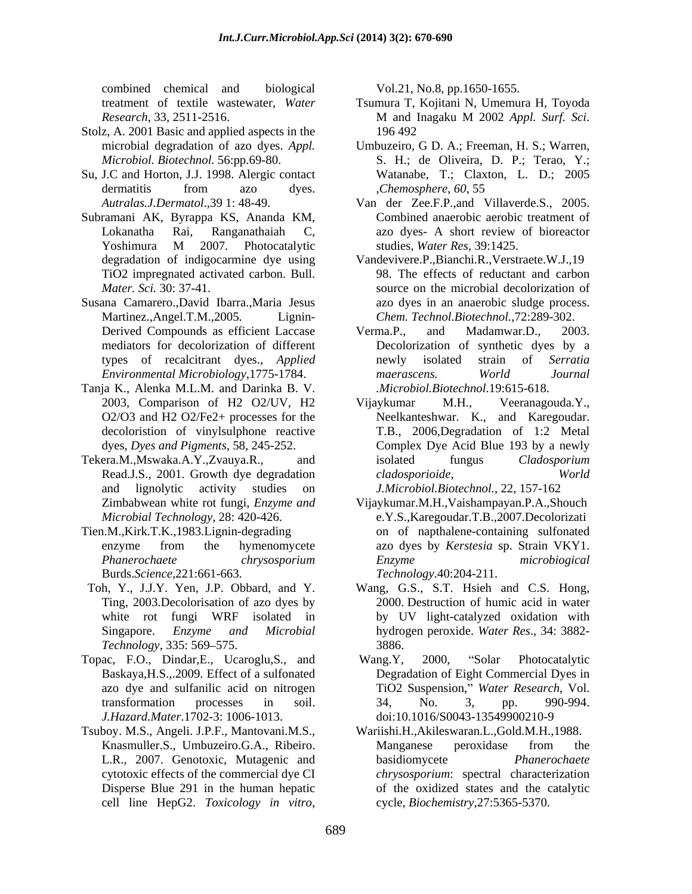combined chemical and biological

- Stolz, A. 2001 Basic and applied aspects in the
- Su, J.C and Horton, J.J. 1998. Alergic contact
- Subramani AK, Byrappa KS, Ananda KM, Yoshimura M 2007. Photocatalytic studies, Water Res, 39:1425.
- Susana Camarero.,David Ibarra.,Maria Jesus mediators for decolorization of different
- Tanja K., Alenka M.L.M. and Darinka B. V.
- Tekera.M., Mswaka.A.Y., Zvauya.R., and isolated fungus *Cladosporium* and lignolytic activity studies on *J.Microbiol.Biotechnol.,* 22, 157-162
- Tien.M.,Kirk.T.K.,1983.Lignin-degrading on of napthalene-containing sulfonated Burds.*Science,*221:661-663. *Technology*.40:204-211.
- 
- Topac, F.O., Dindar,E., Ucaroglu,S., and Baskaya,H.S.,.2009. Effect of a sulfonated *J.Hazard.Mater*.1702-3: 1006-1013.
- Tsuboy. M.S., Angeli. J.P.F., Mantovani.M.S.,

- treatment of textile wastewater, *Water*  Tsumura T, Kojitani N, Umemura H, Toyoda *Research*, 33, 2511-2516. <sup>M</sup> and Inagaku <sup>M</sup> <sup>2002</sup> *Appl. Surf. Sci*. 196 492
- microbial degradation of azo dyes. *Appl.*  Umbuzeiro, G D. A.; Freeman, H. S.; Warren, *Microbiol. Biotechnol.* 56:pp.69-80. S. H.; de Oliveira, D. P.; Terao, Y.; dermatitis from azo dyes. Chemosphere, 60, 55 Watanabe, T.; Claxton, L. D.; 2005 ,*Chemosphere*, *60*, 55
- *Autralas.J.Dermatol*.,39 1: 48-49. Van der Zee.F.P.,and Villaverde.S., 2005. Lokanatha Rai, Ranganathaiah C, azo dyes- A short review of bioreactor Combined anaerobic aerobic treatment of studies, *Water Res,* 39:1425.
- degradation of indigocarmine dye using Vandevivere.P.,Bianchi.R.,Verstraete.W.J.,19 TiO2 impregnated activated carbon. Bull. 98. The effects of reductant and carbon *Mater. Sci.* 30: 37-41. source on the microbial decolorization of Martinez.,Angel.T.M.,2005. Lignin- *Chem. Technol.Biotechnol.*,72:289-302. azo dyes in an anaerobic sludge process.
- Derived Compounds as efficient Laccase Verma.P., and Madamwar.D., 2003. types of recalcitrant dyes., *Applied Environmental Microbiology*,1775-1784. Verma.P., and Madamwar.D., 2003. Decolorization of synthetic dyes by a newly isolated strain of *Serratia maerascens. World Journal .Microbiol.Biotechnol*.19:615-618.
- 2003, Comparison of H2 O2/UV, H2 Vijaykumar M.H., Veeranagouda.Y., O2/O3 and H2 O2/Fe2+ processes for the Neelkanteshwar. K., and Karegoudar. decoloristion of vinylsulphone reactive T.B., 2006,Degradation of 1:2 Metal dyes, *Dyes and Pigments*, 58, 245-252. Complex Dye Acid Blue 193 by a newly Read.J.S., 2001. Growth dye degradation *cladosporioide*, *World* combined characterized and biological vol.21, No.8, pp.1650-1655.<br>
cell and the state of the state of the state of the state of the state of the state of the state of the state of the state of the state of the state of th Vijaykumar M.H., Veeranagouda.Y., isolated fungus *Cladosporium cladosporioide*, *World*
- Zimbabwean white rot fungi, *Enzyme and* Vijaykumar.M.H.,Vaishampayan.P.A.,Shouch *Microbial Technology,* 28: 420-426. e.Y.S.,Karegoudar.T.B.,2007.Decolorizati enzyme from the hymenomycete azo dyes by *Kerstesia* sp. Strain VKY1. *Phanerochaete chrysosporium Enzyme microbiogical*
- Toh, Y., J.J.Y. Yen, J.P. Obbard, and Y. Wang, G.S., S.T. Hsieh and C.S. Hong, Ting, 2003.Decolorisation of azo dyes by 2000. Destruction of humic acid in water white rot fungi WRF isolated in by UV light-catalyzed oxidation with Singapore. *Enzyme and Microbial* hydrogen peroxide. *Water Res*., 34: 3882- *Technology*, 335: 569–575. 3886. 3886.
	- azo dye and sulfanilic acid on nitrogen TiO2 Suspension," Water Research, Vol. transformation processes in soil. Wang.Y, 2000, "Solar Photocatalytic Degradation of Eight Commercial Dyes in TiO2 Suspension," *Water Research*, Vol.<br>34, No. 3, pp. 990-994. doi:10.1016/S0043-13549900210-9
	- Knasmuller.S., Umbuzeiro.G.A., Ribeiro. L.R., 2007. Genotoxic, Mutagenic and basidiomycete Phanerochaete cytotoxic effects of the commercial dye CI *chrysosporium*: spectral characterization Disperse Blue 291 in the human hepatic of the oxidized states and the catalytic Wariishi.H.,Akileswaran.L.,Gold.M.H.,1988. Manganese peroxidase from the basidiomycete *Phanerochaete*  cycle, *Biochemistry*,27:5365-5370.